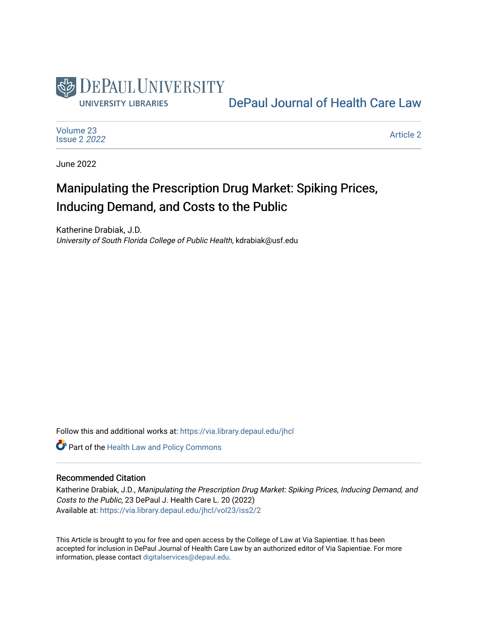

[DePaul Journal of Health Care Law](https://via.library.depaul.edu/jhcl) 

[Volume 23](https://via.library.depaul.edu/jhcl/vol23) [Issue 2](https://via.library.depaul.edu/jhcl/vol23/iss2) 2022

[Article 2](https://via.library.depaul.edu/jhcl/vol23/iss2/2) 

June 2022

# Manipulating the Prescription Drug Market: Spiking Prices, Inducing Demand, and Costs to the Public

Katherine Drabiak, J.D. University of South Florida College of Public Health, kdrabiak@usf.edu

Follow this and additional works at: [https://via.library.depaul.edu/jhcl](https://via.library.depaul.edu/jhcl?utm_source=via.library.depaul.edu%2Fjhcl%2Fvol23%2Fiss2%2F2&utm_medium=PDF&utm_campaign=PDFCoverPages) 

Part of the [Health Law and Policy Commons](https://network.bepress.com/hgg/discipline/901?utm_source=via.library.depaul.edu%2Fjhcl%2Fvol23%2Fiss2%2F2&utm_medium=PDF&utm_campaign=PDFCoverPages) 

#### Recommended Citation

Katherine Drabiak, J.D., Manipulating the Prescription Drug Market: Spiking Prices, Inducing Demand, and Costs to the Public, 23 DePaul J. Health Care L. 20 (2022) Available at: [https://via.library.depaul.edu/jhcl/vol23/iss2/2](https://via.library.depaul.edu/jhcl/vol23/iss2/2?utm_source=via.library.depaul.edu%2Fjhcl%2Fvol23%2Fiss2%2F2&utm_medium=PDF&utm_campaign=PDFCoverPages)

This Article is brought to you for free and open access by the College of Law at Via Sapientiae. It has been accepted for inclusion in DePaul Journal of Health Care Law by an authorized editor of Via Sapientiae. For more information, please contact [digitalservices@depaul.edu](mailto:digitalservices@depaul.edu).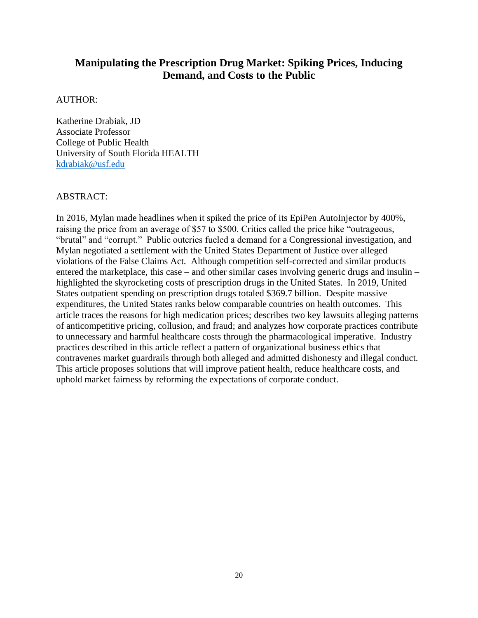# **Manipulating the Prescription Drug Market: Spiking Prices, Inducing Demand, and Costs to the Public**

# AUTHOR:

Katherine Drabiak, JD Associate Professor College of Public Health University of South Florida HEALTH [kdrabiak@usf.edu](mailto:kdrabiak@usf.edu)

# ABSTRACT:

In 2016, Mylan made headlines when it spiked the price of its EpiPen AutoInjector by 400%, raising the price from an average of \$57 to \$500. Critics called the price hike "outrageous, "brutal" and "corrupt." Public outcries fueled a demand for a Congressional investigation, and Mylan negotiated a settlement with the United States Department of Justice over alleged violations of the False Claims Act. Although competition self-corrected and similar products entered the marketplace, this case – and other similar cases involving generic drugs and insulin – highlighted the skyrocketing costs of prescription drugs in the United States. In 2019, United States outpatient spending on prescription drugs totaled \$369.7 billion. Despite massive expenditures, the United States ranks below comparable countries on health outcomes. This article traces the reasons for high medication prices; describes two key lawsuits alleging patterns of anticompetitive pricing, collusion, and fraud; and analyzes how corporate practices contribute to unnecessary and harmful healthcare costs through the pharmacological imperative. Industry practices described in this article reflect a pattern of organizational business ethics that contravenes market guardrails through both alleged and admitted dishonesty and illegal conduct. This article proposes solutions that will improve patient health, reduce healthcare costs, and uphold market fairness by reforming the expectations of corporate conduct.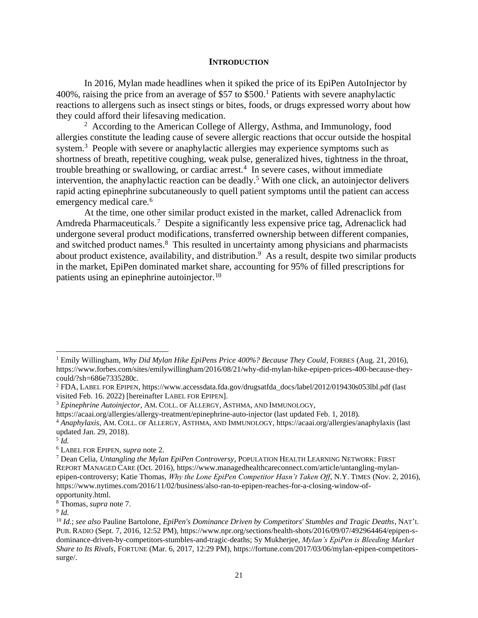#### **INTRODUCTION**

In 2016, Mylan made headlines when it spiked the price of its EpiPen AutoInjector by 400%, raising the price from an average of \$57 to \$500.<sup>1</sup> Patients with severe anaphylactic reactions to allergens such as insect stings or bites, foods, or drugs expressed worry about how they could afford their lifesaving medication.

<sup>2</sup> According to the American College of Allergy, Asthma, and Immunology, food allergies constitute the leading cause of severe allergic reactions that occur outside the hospital system.<sup>3</sup> People with severe or anaphylactic allergies may experience symptoms such as shortness of breath, repetitive coughing, weak pulse, generalized hives, tightness in the throat, trouble breathing or swallowing, or cardiac arrest.<sup>4</sup> In severe cases, without immediate intervention, the anaphylactic reaction can be deadly.<sup>5</sup> With one click, an autoinjector delivers rapid acting epinephrine subcutaneously to quell patient symptoms until the patient can access emergency medical care.<sup>6</sup>

At the time, one other similar product existed in the market, called Adrenaclick from Amdreda Pharmaceuticals.<sup>7</sup> Despite a significantly less expensive price tag, Adrenaclick had undergone several product modifications, transferred ownership between different companies, and switched product names.<sup>8</sup> This resulted in uncertainty among physicians and pharmacists about product existence, availability, and distribution.<sup>9</sup> As a result, despite two similar products in the market, EpiPen dominated market share, accounting for 95% of filled prescriptions for patients using an epinephrine autoinjector.<sup>10</sup>

<sup>1</sup> Emily Willingham, *Why Did Mylan Hike EpiPens Price 400%? Because They Could*, FORBES (Aug. 21, 2016), https://www.forbes.com/sites/emilywillingham/2016/08/21/why-did-mylan-hike-epipen-prices-400-because-theycould/?sh=686e7335280c.

<sup>2</sup> FDA, LABEL FOR EPIPEN, https://www.accessdata.fda.gov/drugsatfda\_docs/label/2012/019430s053lbl.pdf (last visited Feb. 16. 2022) [hereinafter LABEL FOR EPIPEN].

<sup>3</sup> *Epinephrine Autoinjector*, AM. COLL. OF ALLERGY, ASTHMA, AND IMMUNOLOGY,

https://acaai.org/allergies/allergy-treatment/epinephrine-auto-injector (last updated Feb. 1, 2018).

<sup>4</sup> *Anaphylaxis*, AM. COLL. OF ALLERGY, ASTHMA, AND IMMUNOLOGY, https://acaai.org/allergies/anaphylaxis (last updated Jan. 29, 2018).

<sup>5</sup> *Id.*

<sup>6</sup> LABEL FOR EPIPEN, *supra* note 2.

<sup>7</sup> Dean Celia, *Untangling the Mylan EpiPen Controversy*, POPULATION HEALTH LEARNING NETWORK:FIRST REPORT MANAGED CARE (Oct. 2016), https://www.managedhealthcareconnect.com/article/untangling-mylanepipen-controversy; Katie Thomas, *Why the Lone EpiPen Competitor Hasn't Taken Off*, N.Y. TIMES (Nov. 2, 2016), https://www.nytimes.com/2016/11/02/business/also-ran-to-epipen-reaches-for-a-closing-window-ofopportunity.html.

<sup>8</sup> Thomas, *supra* note 7.

<sup>9</sup> *Id.*

<sup>10</sup> *Id.*; *see also* Pauline Bartolone, *EpiPen's Dominance Driven by Competitors' Stumbles and Tragic Deaths*, NAT'L PUB. RADIO (Sept. 7, 2016, 12:52 PM), https://www.npr.org/sections/health-shots/2016/09/07/492964464/epipen-sdominance-driven-by-competitors-stumbles-and-tragic-deaths; Sy Mukherjee, *Mylan's EpiPen is Bleeding Market Share to Its Rivals*, FORTUNE (Mar. 6, 2017, 12:29 PM), https://fortune.com/2017/03/06/mylan-epipen-competitorssurge/.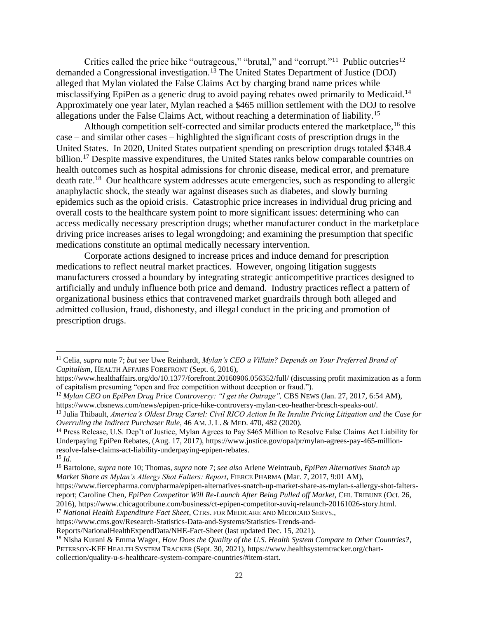Critics called the price hike "outrageous," "brutal," and "corrupt."<sup>11</sup> Public outcries<sup>12</sup> demanded a Congressional investigation.<sup>13</sup> The United States Department of Justice (DOJ) alleged that Mylan violated the False Claims Act by charging brand name prices while misclassifying EpiPen as a generic drug to avoid paying rebates owed primarily to Medicaid.<sup>14</sup> Approximately one year later, Mylan reached a \$465 million settlement with the DOJ to resolve allegations under the False Claims Act, without reaching a determination of liability.<sup>15</sup>

Although competition self-corrected and similar products entered the marketplace,  $16$  this case – and similar other cases – highlighted the significant costs of prescription drugs in the United States. In 2020, United States outpatient spending on prescription drugs totaled \$348.4 billion.<sup>17</sup> Despite massive expenditures, the United States ranks below comparable countries on health outcomes such as hospital admissions for chronic disease, medical error, and premature death rate.<sup>18</sup> Our healthcare system addresses acute emergencies, such as responding to allergic anaphylactic shock, the steady war against diseases such as diabetes, and slowly burning epidemics such as the opioid crisis. Catastrophic price increases in individual drug pricing and overall costs to the healthcare system point to more significant issues: determining who can access medically necessary prescription drugs; whether manufacturer conduct in the marketplace driving price increases arises to legal wrongdoing; and examining the presumption that specific medications constitute an optimal medically necessary intervention.

Corporate actions designed to increase prices and induce demand for prescription medications to reflect neutral market practices. However, ongoing litigation suggests manufacturers crossed a boundary by integrating strategic anticompetitive practices designed to artificially and unduly influence both price and demand. Industry practices reflect a pattern of organizational business ethics that contravened market guardrails through both alleged and admitted collusion, fraud, dishonesty, and illegal conduct in the pricing and promotion of prescription drugs.

<sup>11</sup> Celia, *supra* note 7; *but see* Uwe Reinhardt, *Mylan's CEO a Villain? Depends on Your Preferred Brand of Capitalism*, HEALTH AFFAIRS FOREFRONT (Sept. 6, 2016),

https://www.healthaffairs.org/do/10.1377/forefront.20160906.056352/full/ (discussing profit maximization as a form of capitalism presuming "open and free competition without deception or fraud.").

<sup>12</sup> *Mylan CEO on EpiPen Drug Price Controversy: "I get the Outrage",* CBS NEWS (Jan. 27, 2017, 6:54 AM), https://www.cbsnews.com/news/epipen-price-hike-controversy-mylan-ceo-heather-bresch-speaks-out/.

<sup>13</sup> Julia Thibault, *America's Oldest Drug Cartel: Civil RICO Action In Re Insulin Pricing Litigation and the Case for Overruling the Indirect Purchaser Rule*, 46 AM. J. L. & MED. 470, 482 (2020).

<sup>14</sup> Press Release, U.S. Dep't of Justice, Mylan Agrees to Pay \$465 Million to Resolve False Claims Act Liability for Underpaying EpiPen Rebates, (Aug. 17, 2017), https://www.justice.gov/opa/pr/mylan-agrees-pay-465-millionresolve-false-claims-act-liability-underpaying-epipen-rebates.

<sup>15</sup> *Id.*

<sup>16</sup> Bartolone, *supra* note 10; Thomas, *supra* note 7; *see also* Arlene Weintraub, *EpiPen Alternatives Snatch up Market Share as Mylan's Allergy Shot Falters: Report*, FIERCE PHARMA (Mar. 7, 2017, 9:01 AM),

https://www.fiercepharma.com/pharma/epipen-alternatives-snatch-up-market-share-as-mylan-s-allergy-shot-faltersreport; Caroline Chen, *EpiPen Competitor Will Re-Launch After Being Pulled off Market*, CHI. TRIBUNE (Oct. 26, 2016), https://www.chicagotribune.com/business/ct-epipen-competitor-auviq-relaunch-20161026-story.html.

<sup>17</sup> *National Health Expenditure Fact Sheet*, CTRS. FOR MEDICARE AND MEDICAID SERVS.,

https://www.cms.gov/Research-Statistics-Data-and-Systems/Statistics-Trends-and-

Reports/NationalHealthExpendData/NHE-Fact-Sheet (last updated Dec. 15, 2021).

<sup>18</sup> Nisha Kurani & Emma Wager, *How Does the Quality of the U.S. Health System Compare to Other Countries?*, PETERSON-KFF HEALTH SYSTEM TRACKER (Sept. 30, 2021), https://www.healthsystemtracker.org/chartcollection/quality-u-s-healthcare-system-compare-countries/#item-start.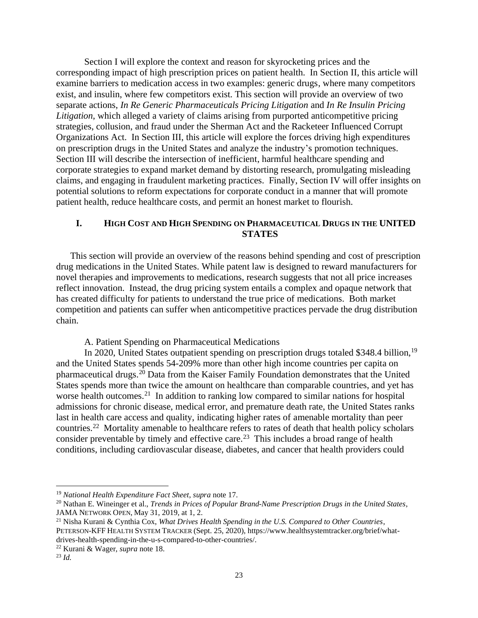Section I will explore the context and reason for skyrocketing prices and the corresponding impact of high prescription prices on patient health. In Section II, this article will examine barriers to medication access in two examples: generic drugs, where many competitors exist, and insulin, where few competitors exist. This section will provide an overview of two separate actions, *In Re Generic Pharmaceuticals Pricing Litigation* and *In Re Insulin Pricing Litigation*, which alleged a variety of claims arising from purported anticompetitive pricing strategies, collusion, and fraud under the Sherman Act and the Racketeer Influenced Corrupt Organizations Act. In Section III, this article will explore the forces driving high expenditures on prescription drugs in the United States and analyze the industry's promotion techniques. Section III will describe the intersection of inefficient, harmful healthcare spending and corporate strategies to expand market demand by distorting research, promulgating misleading claims, and engaging in fraudulent marketing practices. Finally, Section IV will offer insights on potential solutions to reform expectations for corporate conduct in a manner that will promote patient health, reduce healthcare costs, and permit an honest market to flourish.

# **I. HIGH COST AND HIGH SPENDING ON PHARMACEUTICAL DRUGS IN THE UNITED STATES**

This section will provide an overview of the reasons behind spending and cost of prescription drug medications in the United States. While patent law is designed to reward manufacturers for novel therapies and improvements to medications, research suggests that not all price increases reflect innovation. Instead, the drug pricing system entails a complex and opaque network that has created difficulty for patients to understand the true price of medications. Both market competition and patients can suffer when anticompetitive practices pervade the drug distribution chain.

A. Patient Spending on Pharmaceutical Medications

In 2020, United States outpatient spending on prescription drugs totaled \$348.4 billion,<sup>19</sup> and the United States spends 54-209% more than other high income countries per capita on pharmaceutical drugs.<sup>20</sup> Data from the Kaiser Family Foundation demonstrates that the United States spends more than twice the amount on healthcare than comparable countries, and yet has worse health outcomes.<sup>21</sup> In addition to ranking low compared to similar nations for hospital admissions for chronic disease, medical error, and premature death rate, the United States ranks last in health care access and quality, indicating higher rates of amenable mortality than peer countries.<sup>22</sup> Mortality amenable to healthcare refers to rates of death that health policy scholars consider preventable by timely and effective care.<sup>23</sup> This includes a broad range of health conditions, including cardiovascular disease, diabetes, and cancer that health providers could

<sup>19</sup> *National Health Expenditure Fact Sheet*, *supra* note 17.

<sup>20</sup> Nathan E. Wineinger et al., *Trends in Prices of Popular Brand-Name Prescription Drugs in the United States*, JAMA NETWORK OPEN, May 31, 2019, at 1, 2.

<sup>21</sup> Nisha Kurani & Cynthia Cox, *What Drives Health Spending in the U.S. Compared to Other Countries*, PETERSON-KFF HEALTH SYSTEM TRACKER (Sept. 25, 2020), https://www.healthsystemtracker.org/brief/whatdrives-health-spending-in-the-u-s-compared-to-other-countries/.

<sup>22</sup> Kurani & Wager, *supra* note 18.

<sup>23</sup> *Id.*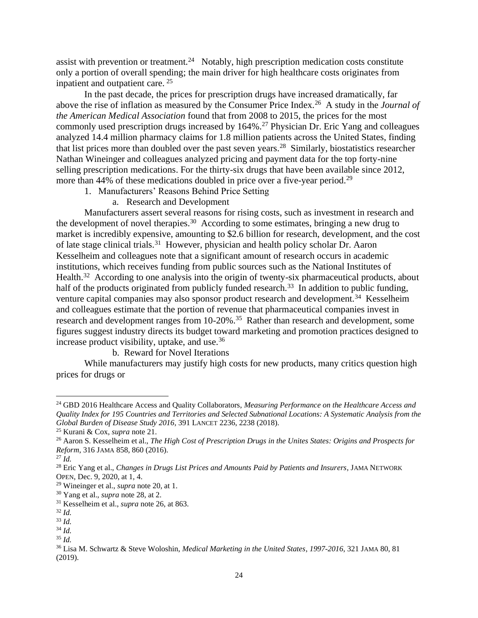assist with prevention or treatment.<sup>24</sup> Notably, high prescription medication costs constitute only a portion of overall spending; the main driver for high healthcare costs originates from inpatient and outpatient care. <sup>25</sup>

In the past decade, the prices for prescription drugs have increased dramatically, far above the rise of inflation as measured by the Consumer Price Index.<sup>26</sup> A study in the *Journal of the American Medical Association* found that from 2008 to 2015, the prices for the most commonly used prescription drugs increased by 164%.<sup>27</sup> Physician Dr. Eric Yang and colleagues analyzed 14.4 million pharmacy claims for 1.8 million patients across the United States, finding that list prices more than doubled over the past seven years.<sup>28</sup> Similarly, biostatistics researcher Nathan Wineinger and colleagues analyzed pricing and payment data for the top forty-nine selling prescription medications. For the thirty-six drugs that have been available since 2012, more than 44% of these medications doubled in price over a five-year period.<sup>29</sup>

- 1. Manufacturers' Reasons Behind Price Setting
	- a. Research and Development

Manufacturers assert several reasons for rising costs, such as investment in research and the development of novel therapies.<sup>30</sup> According to some estimates, bringing a new drug to market is incredibly expensive, amounting to \$2.6 billion for research, development, and the cost of late stage clinical trials.<sup>31</sup> However, physician and health policy scholar Dr. Aaron Kesselheim and colleagues note that a significant amount of research occurs in academic institutions, which receives funding from public sources such as the National Institutes of Health.<sup>32</sup> According to one analysis into the origin of twenty-six pharmaceutical products, about half of the products originated from publicly funded research.<sup>33</sup> In addition to public funding, venture capital companies may also sponsor product research and development.<sup>34</sup> Kesselheim and colleagues estimate that the portion of revenue that pharmaceutical companies invest in research and development ranges from 10-20%.<sup>35</sup> Rather than research and development, some figures suggest industry directs its budget toward marketing and promotion practices designed to increase product visibility, uptake, and use.<sup>36</sup>

b. Reward for Novel Iterations

While manufacturers may justify high costs for new products, many critics question high prices for drugs or

<sup>24</sup> GBD 2016 Healthcare Access and Quality Collaborators, *Measuring Performance on the Healthcare Access and Quality Index for 195 Countries and Territories and Selected Subnational Locations: A Systematic Analysis from the Global Burden of Disease Study 2016*, 391 LANCET 2236, 2238 (2018).

<sup>25</sup> Kurani & Cox, *supra* note 21.

<sup>26</sup> Aaron S. Kesselheim et al., *The High Cost of Prescription Drugs in the Unites States: Origins and Prospects for Reform*, 316 JAMA 858, 860 (2016).

<sup>27</sup> *Id.*

<sup>28</sup> Eric Yang et al., *Changes in Drugs List Prices and Amounts Paid by Patients and Insurers*, JAMA NETWORK OPEN, Dec. 9, 2020, at 1, 4.

<sup>29</sup> Wineinger et al., *supra* note 20, at 1.

<sup>30</sup> Yang et al., *supra* note 28, at 2.

<sup>31</sup> Kesselheim et al., *supra* note 26, at 863.

<sup>32</sup> *Id.*

<sup>33</sup> *Id.*

<sup>34</sup> *Id.*

<sup>35</sup> *Id.*

<sup>36</sup> Lisa M. Schwartz & Steve Woloshin, *Medical Marketing in the United States*, *1997-2016*, 321 JAMA 80, 81 (2019).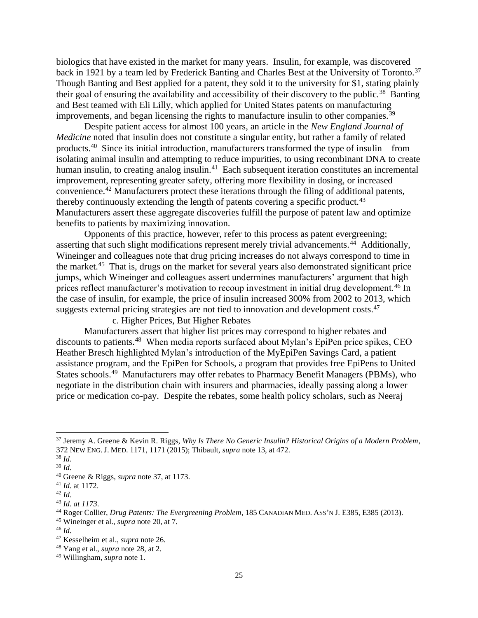biologics that have existed in the market for many years. Insulin, for example, was discovered back in 1921 by a team led by Frederick Banting and Charles Best at the University of Toronto.<sup>37</sup> Though Banting and Best applied for a patent, they sold it to the university for \$1, stating plainly their goal of ensuring the availability and accessibility of their discovery to the public.<sup>38</sup> Banting and Best teamed with Eli Lilly, which applied for United States patents on manufacturing improvements, and began licensing the rights to manufacture insulin to other companies.<sup>39</sup>

Despite patient access for almost 100 years, an article in the *New England Journal of Medicine* noted that insulin does not constitute a singular entity, but rather a family of related products.<sup>40</sup> Since its initial introduction, manufacturers transformed the type of insulin – from isolating animal insulin and attempting to reduce impurities, to using recombinant DNA to create human insulin, to creating analog insulin.<sup>41</sup> Each subsequent iteration constitutes an incremental improvement, representing greater safety, offering more flexibility in dosing, or increased convenience.<sup>42</sup> Manufacturers protect these iterations through the filing of additional patents, thereby continuously extending the length of patents covering a specific product.<sup>43</sup> Manufacturers assert these aggregate discoveries fulfill the purpose of patent law and optimize benefits to patients by maximizing innovation.

Opponents of this practice, however, refer to this process as patent evergreening; asserting that such slight modifications represent merely trivial advancements.<sup>44</sup> Additionally, Wineinger and colleagues note that drug pricing increases do not always correspond to time in the market.<sup>45</sup> That is, drugs on the market for several years also demonstrated significant price jumps, which Wineinger and colleagues assert undermines manufacturers' argument that high prices reflect manufacturer's motivation to recoup investment in initial drug development.<sup>46</sup> In the case of insulin, for example, the price of insulin increased 300% from 2002 to 2013, which suggests external pricing strategies are not tied to innovation and development costs.<sup>47</sup>

c. Higher Prices, But Higher Rebates

Manufacturers assert that higher list prices may correspond to higher rebates and discounts to patients.<sup>48</sup> When media reports surfaced about Mylan's EpiPen price spikes, CEO Heather Bresch highlighted Mylan's introduction of the MyEpiPen Savings Card, a patient assistance program, and the EpiPen for Schools, a program that provides free EpiPens to United States schools.<sup>49</sup> Manufacturers may offer rebates to Pharmacy Benefit Managers (PBMs), who negotiate in the distribution chain with insurers and pharmacies, ideally passing along a lower price or medication co-pay. Despite the rebates, some health policy scholars, such as Neeraj

<sup>37</sup> Jeremy A. Greene & Kevin R. Riggs, *Why Is There No Generic Insulin? Historical Origins of a Modern Problem*, 372 NEW ENG. J. MED. 1171, 1171 (2015); Thibault, *supra* note 13, at 472.

<sup>38</sup> *Id.*

<sup>39</sup> *Id.*

<sup>40</sup> Greene & Riggs, *supra* note 37, at 1173.

<sup>41</sup> *Id.* at 1172.

<sup>42</sup> *Id.*

<sup>43</sup> *Id. at 1173*.

<sup>44</sup> Roger Collier, *Drug Patents: The Evergreening Problem*, 185 CANADIAN MED. ASS'N J. E385, E385 (2013).

<sup>45</sup> Wineinger et al., *supra* note 20, at 7.

<sup>46</sup> *Id.*

<sup>47</sup> Kesselheim et al., *supra* note 26.

<sup>48</sup> Yang et al., *supra* note 28, at 2.

<sup>49</sup> Willingham, *supra* note 1.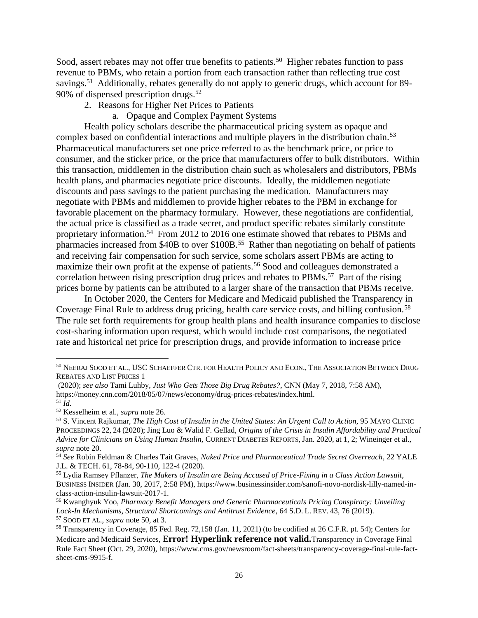Sood, assert rebates may not offer true benefits to patients.<sup>50</sup> Higher rebates function to pass revenue to PBMs, who retain a portion from each transaction rather than reflecting true cost savings.<sup>51</sup> Additionally, rebates generally do not apply to generic drugs, which account for 89-90% of dispensed prescription drugs.<sup>52</sup>

- 2. Reasons for Higher Net Prices to Patients
	- a. Opaque and Complex Payment Systems

Health policy scholars describe the pharmaceutical pricing system as opaque and complex based on confidential interactions and multiple players in the distribution chain.<sup>53</sup> Pharmaceutical manufacturers set one price referred to as the benchmark price, or price to consumer, and the sticker price, or the price that manufacturers offer to bulk distributors. Within this transaction, middlemen in the distribution chain such as wholesalers and distributors, PBMs health plans, and pharmacies negotiate price discounts. Ideally, the middlemen negotiate discounts and pass savings to the patient purchasing the medication. Manufacturers may negotiate with PBMs and middlemen to provide higher rebates to the PBM in exchange for favorable placement on the pharmacy formulary. However, these negotiations are confidential, the actual price is classified as a trade secret, and product specific rebates similarly constitute proprietary information.<sup>54</sup> From 2012 to 2016 one estimate showed that rebates to PBMs and pharmacies increased from \$40B to over \$100B.<sup>55</sup> Rather than negotiating on behalf of patients and receiving fair compensation for such service, some scholars assert PBMs are acting to maximize their own profit at the expense of patients.<sup>56</sup> Sood and colleagues demonstrated a correlation between rising prescription drug prices and rebates to PBMs.<sup>57</sup> Part of the rising prices borne by patients can be attributed to a larger share of the transaction that PBMs receive.

In October 2020, the Centers for Medicare and Medicaid published the Transparency in Coverage Final Rule to address drug pricing, health care service costs, and billing confusion.<sup>58</sup> The rule set forth requirements for group health plans and health insurance companies to disclose cost-sharing information upon request, which would include cost comparisons, the negotiated rate and historical net price for prescription drugs, and provide information to increase price

<sup>50</sup> NEERAJ SOOD ET AL., USC SCHAEFFER CTR. FOR HEALTH POLICY AND ECON., THE ASSOCIATION BETWEEN DRUG REBATES AND LIST PRICES 1

<sup>(2020);</sup> *see also* Tami Luhby, *Just Who Gets Those Big Drug Rebates?*, CNN (May 7, 2018, 7:58 AM), https://money.cnn.com/2018/05/07/news/economy/drug-prices-rebates/index.html.

<sup>51</sup> *Id.*

<sup>52</sup> Kesselheim et al., *supra* note 26.

<sup>53</sup> S. Vincent Rajkumar, *The High Cost of Insulin in the United States: An Urgent Call to Action*, 95 MAYO CLINIC PROCEEDINGS 22, 24 (2020); Jing Luo & Walid F. Gellad, *Origins of the Crisis in Insulin Affordability and Practical Advice for Clinicians on Using Human Insulin,* CURRENT DIABETES REPORTS, Jan. 2020, at 1, 2; Wineinger et al., *supra* note 20.

<sup>54</sup> *See* Robin Feldman & Charles Tait Graves, *Naked Price and Pharmaceutical Trade Secret Overreach*, 22 YALE J.L. & TECH. 61, 78-84, 90-110, 122-4 (2020).

<sup>55</sup> Lydia Ramsey Pflanzer, *The Makers of Insulin are Being Accused of Price-Fixing in a Class Action Lawsuit*, BUSINESS INSIDER (Jan. 30, 2017, 2:58 PM), https://www.businessinsider.com/sanofi-novo-nordisk-lilly-named-inclass-action-insulin-lawsuit-2017-1.

<sup>56</sup> Kwanghyuk Yoo, *Pharmacy Benefit Managers and Generic Pharmaceuticals Pricing Conspiracy: Unveiling Lock-In Mechanisms, Structural Shortcomings and Antitrust Evidence*, 64 S.D. L. REV. 43, 76 (2019). <sup>57</sup> SOOD ET AL., *supra* note 50, at 3.

<sup>58</sup> Transparency in Coverage, 85 Fed. Reg. 72,158 (Jan. 11, 2021) (to be codified at 26 C.F.R. pt. 54); Centers for Medicare and Medicaid Services, E**rror! Hyperlink reference not valid.**Transparency in Coverage Final Rule Fact Sheet (Oct. 29, 2020), https://www.cms.gov/newsroom/fact-sheets/transparency-coverage-final-rule-factsheet-cms-9915-f.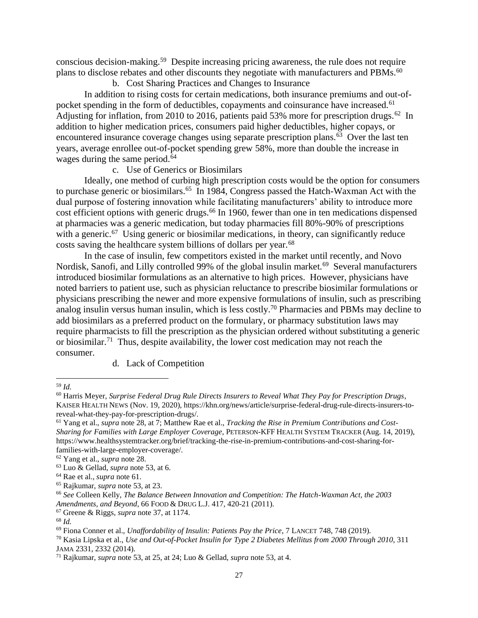conscious decision-making.<sup>59</sup> Despite increasing pricing awareness, the rule does not require plans to disclose rebates and other discounts they negotiate with manufacturers and PBMs.<sup>60</sup>

b. Cost Sharing Practices and Changes to Insurance

In addition to rising costs for certain medications, both insurance premiums and out-ofpocket spending in the form of deductibles, copayments and coinsurance have increased.<sup>61</sup> Adjusting for inflation, from 2010 to 2016, patients paid 53% more for prescription drugs.<sup>62</sup> In addition to higher medication prices, consumers paid higher deductibles, higher copays, or encountered insurance coverage changes using separate prescription plans.<sup>63</sup> Over the last ten years, average enrollee out-of-pocket spending grew 58%, more than double the increase in wages during the same period.<sup>64</sup>

c. Use of Generics or Biosimilars

Ideally, one method of curbing high prescription costs would be the option for consumers to purchase generic or biosimilars.<sup>65</sup> In 1984, Congress passed the Hatch-Waxman Act with the dual purpose of fostering innovation while facilitating manufacturers' ability to introduce more cost efficient options with generic drugs.<sup>66</sup> In 1960, fewer than one in ten medications dispensed at pharmacies was a generic medication, but today pharmacies fill 80%-90% of prescriptions with a generic.<sup>67</sup> Using generic or biosimilar medications, in theory, can significantly reduce costs saving the healthcare system billions of dollars per year.<sup>68</sup>

In the case of insulin, few competitors existed in the market until recently, and Novo Nordisk, Sanofi, and Lilly controlled 99% of the global insulin market.<sup>69</sup> Several manufacturers introduced biosimilar formulations as an alternative to high prices. However, physicians have noted barriers to patient use, such as physician reluctance to prescribe biosimilar formulations or physicians prescribing the newer and more expensive formulations of insulin, such as prescribing analog insulin versus human insulin, which is less costly.<sup>70</sup> Pharmacies and PBMs may decline to add biosimilars as a preferred product on the formulary, or pharmacy substitution laws may require pharmacists to fill the prescription as the physician ordered without substituting a generic or biosimilar.<sup>71</sup> Thus, despite availability, the lower cost medication may not reach the consumer.

d. Lack of Competition

<sup>59</sup> *Id.*

<sup>60</sup> Harris Meyer, *Surprise Federal Drug Rule Directs Insurers to Reveal What They Pay for Prescription Drugs*, KAISER HEALTH NEWS (Nov. 19, 2020), https://khn.org/news/article/surprise-federal-drug-rule-directs-insurers-toreveal-what-they-pay-for-prescription-drugs/.

<sup>61</sup> Yang et al., *supra* note 28, at 7; Matthew Rae et al., *Tracking the Rise in Premium Contributions and Cost-Sharing for Families with Large Employer Coverage*, PETERSON-KFF HEALTH SYSTEM TRACKER (Aug. 14, 2019), https://www.healthsystemtracker.org/brief/tracking-the-rise-in-premium-contributions-and-cost-sharing-forfamilies-with-large-employer-coverage/.

<sup>62</sup> Yang et al., *supra* note 28.

<sup>63</sup> Luo & Gellad, *supra* note 53, at 6.

<sup>64</sup> Rae et al., *supra* note 61.

<sup>65</sup> Rajkumar, *supra* note 53, at 23.

<sup>66</sup> *See* Colleen Kelly, *The Balance Between Innovation and Competition: The Hatch-Waxman Act, the 2003 Amendments, and Beyond*, 66 FOOD & DRUG L.J. 417, 420-21 (2011).

<sup>67</sup> Greene & Riggs, *supra* note 37, at 1174.

<sup>68</sup> *Id.*

<sup>69</sup> Fiona Conner et al., *Unaffordability of Insulin: Patients Pay the Price*, 7 LANCET 748, 748 (2019).

<sup>70</sup> Kasia Lipska et al., *Use and Out-of-Pocket Insulin for Type 2 Diabetes Mellitus from 2000 Through 2010*, 311 JAMA 2331, 2332 (2014).

<sup>71</sup> Rajkumar, *supra* note 53, at 25, at 24; Luo & Gellad, *supra* note 53, at 4.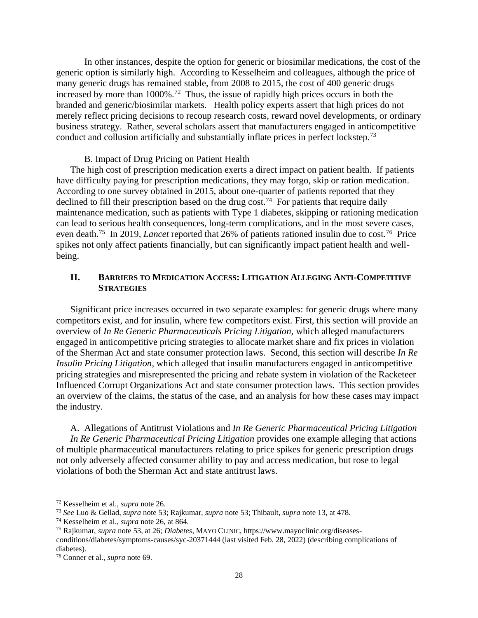In other instances, despite the option for generic or biosimilar medications, the cost of the generic option is similarly high. According to Kesselheim and colleagues, although the price of many generic drugs has remained stable, from 2008 to 2015, the cost of 400 generic drugs increased by more than 1000%.<sup>72</sup> Thus, the issue of rapidly high prices occurs in both the branded and generic/biosimilar markets. Health policy experts assert that high prices do not merely reflect pricing decisions to recoup research costs, reward novel developments, or ordinary business strategy. Rather, several scholars assert that manufacturers engaged in anticompetitive conduct and collusion artificially and substantially inflate prices in perfect lockstep.<sup>73</sup>

B. Impact of Drug Pricing on Patient Health

The high cost of prescription medication exerts a direct impact on patient health. If patients have difficulty paying for prescription medications, they may forgo, skip or ration medication. According to one survey obtained in 2015, about one-quarter of patients reported that they declined to fill their prescription based on the drug cost.<sup>74</sup> For patients that require daily maintenance medication, such as patients with Type 1 diabetes, skipping or rationing medication can lead to serious health consequences, long-term complications, and in the most severe cases, even death.<sup>75</sup> In 2019, *Lancet* reported that 26% of patients rationed insulin due to cost.<sup>76</sup> Price spikes not only affect patients financially, but can significantly impact patient health and wellbeing.

## **II. BARRIERS TO MEDICATION ACCESS: LITIGATION ALLEGING ANTI-COMPETITIVE STRATEGIES**

Significant price increases occurred in two separate examples: for generic drugs where many competitors exist, and for insulin, where few competitors exist. First, this section will provide an overview of *In Re Generic Pharmaceuticals Pricing Litigation,* which alleged manufacturers engaged in anticompetitive pricing strategies to allocate market share and fix prices in violation of the Sherman Act and state consumer protection laws. Second, this section will describe *In Re Insulin Pricing Litigation*, which alleged that insulin manufacturers engaged in anticompetitive pricing strategies and misrepresented the pricing and rebate system in violation of the Racketeer Influenced Corrupt Organizations Act and state consumer protection laws. This section provides an overview of the claims, the status of the case, and an analysis for how these cases may impact the industry.

A. Allegations of Antitrust Violations and *In Re Generic Pharmaceutical Pricing Litigation In Re Generic Pharmaceutical Pricing Litigation* provides one example alleging that actions of multiple pharmaceutical manufacturers relating to price spikes for generic prescription drugs not only adversely affected consumer ability to pay and access medication, but rose to legal violations of both the Sherman Act and state antitrust laws.

<sup>72</sup> Kesselheim et al., *supra* note 26.

<sup>73</sup> *See* Luo & Gellad, *supra* note 53; Rajkumar, *supra* note 53; Thibault, *supra* note 13, at 478.

<sup>74</sup> Kesselheim et al., *supra* note 26, at 864.

<sup>75</sup> Rajkumar, *supra* note 53, at 26; *Diabetes*, MAYO CLINIC, https://www.mayoclinic.org/diseases-

conditions/diabetes/symptoms-causes/syc-20371444 (last visited Feb. 28, 2022) (describing complications of diabetes).

<sup>76</sup> Conner et al., *supra* note 69.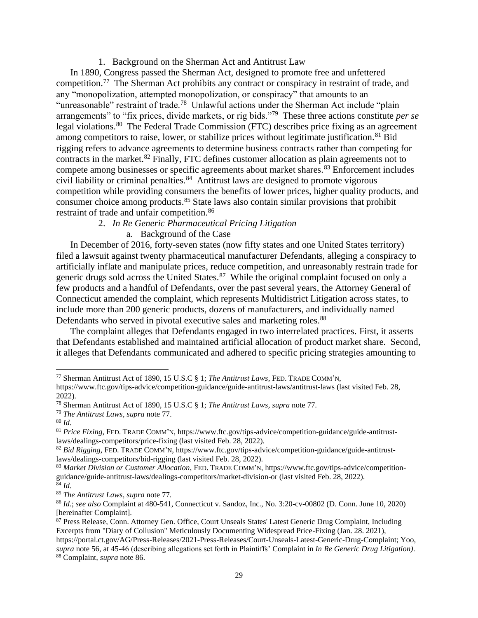1. Background on the Sherman Act and Antitrust Law

In 1890, Congress passed the Sherman Act, designed to promote free and unfettered competition.<sup>77</sup> The Sherman Act prohibits any contract or conspiracy in restraint of trade, and any "monopolization, attempted monopolization, or conspiracy" that amounts to an "unreasonable" restraint of trade.<sup>78</sup> Unlawful actions under the Sherman Act include "plain arrangements" to "fix prices, divide markets, or rig bids."<sup>79</sup> These three actions constitute *per se* legal violations.<sup>80</sup> The Federal Trade Commission (FTC) describes price fixing as an agreement among competitors to raise, lower, or stabilize prices without legitimate justification.<sup>81</sup> Bid rigging refers to advance agreements to determine business contracts rather than competing for contracts in the market.<sup>82</sup> Finally, FTC defines customer allocation as plain agreements not to compete among businesses or specific agreements about market shares.<sup>83</sup> Enforcement includes civil liability or criminal penalties.<sup>84</sup> Antitrust laws are designed to promote vigorous competition while providing consumers the benefits of lower prices, higher quality products, and consumer choice among products.<sup>85</sup> State laws also contain similar provisions that prohibit restraint of trade and unfair competition.<sup>86</sup>

# 2. *In Re Generic Pharmaceutical Pricing Litigation*

a. Background of the Case

In December of 2016, forty-seven states (now fifty states and one United States territory) filed a lawsuit against twenty pharmaceutical manufacturer Defendants, alleging a conspiracy to artificially inflate and manipulate prices, reduce competition, and unreasonably restrain trade for generic drugs sold across the United States.<sup>87</sup> While the original complaint focused on only a few products and a handful of Defendants, over the past several years, the Attorney General of Connecticut amended the complaint, which represents Multidistrict Litigation across states, to include more than 200 generic products, dozens of manufacturers, and individually named Defendants who served in pivotal executive sales and marketing roles.<sup>88</sup>

The complaint alleges that Defendants engaged in two interrelated practices. First, it asserts that Defendants established and maintained artificial allocation of product market share. Second, it alleges that Defendants communicated and adhered to specific pricing strategies amounting to

<sup>77</sup> Sherman Antitrust Act of 1890, 15 U.S.C § 1; *The Antitrust Laws*, FED. TRADE COMM'N,

https://www.ftc.gov/tips-advice/competition-guidance/guide-antitrust-laws/antitrust-laws (last visited Feb. 28, 2022).

<sup>78</sup> Sherman Antitrust Act of 1890, 15 U.S.C § 1; *The Antitrust Laws*, *supra* note 77.

<sup>79</sup> *The Antitrust Laws*, *supra* note 77.

<sup>80</sup> *Id.*

<sup>81</sup> *Price Fixing*, FED. TRADE COMM'N, https://www.ftc.gov/tips-advice/competition-guidance/guide-antitrustlaws/dealings-competitors/price-fixing (last visited Feb. 28, 2022).

<sup>82</sup> *Bid Rigging*, FED. TRADE COMM'N, https://www.ftc.gov/tips-advice/competition-guidance/guide-antitrustlaws/dealings-competitors/bid-rigging (last visited Feb. 28, 2022).

<sup>83</sup> *Market Division or Customer Allocation*, FED. TRADE COMM'N, https://www.ftc.gov/tips-advice/competitionguidance/guide-antitrust-laws/dealings-competitors/market-division-or (last visited Feb. 28, 2022). <sup>84</sup> *Id.*

<sup>85</sup> *The Antitrust Laws*, *supra* note 77*.*

<sup>86</sup> *Id.*; *see also* Complaint at 480-541, Connecticut v. Sandoz, Inc., No. 3:20-cv-00802 (D. Conn. June 10, 2020) [hereinafter Complaint].

<sup>87</sup> Press Release, Conn. Attorney Gen. Office, Court Unseals States' Latest Generic Drug Complaint, Including Excerpts from "Diary of Collusion" Meticulously Documenting Widespread Price-Fixing (Jan. 28. 2021),

https://portal.ct.gov/AG/Press-Releases/2021-Press-Releases/Court-Unseals-Latest-Generic-Drug-Complaint; Yoo, *supra* note 56, at 45-46 (describing allegations set forth in Plaintiffs' Complaint in *In Re Generic Drug Litigation)*. <sup>88</sup> Complaint, *supra* note 86.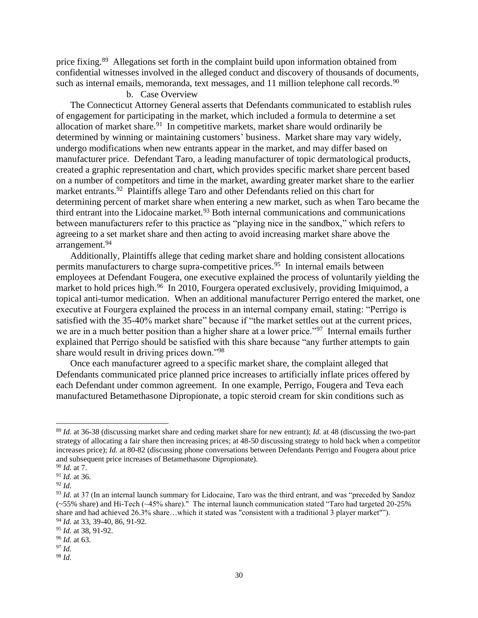price fixing.<sup>89</sup> Allegations set forth in the complaint build upon information obtained from confidential witnesses involved in the alleged conduct and discovery of thousands of documents, such as internal emails, memoranda, text messages, and 11 million telephone call records.<sup>90</sup>

## b. Case Overview

The Connecticut Attorney General asserts that Defendants communicated to establish rules of engagement for participating in the market, which included a formula to determine a set allocation of market share.<sup>91</sup> In competitive markets, market share would ordinarily be determined by winning or maintaining customers' business. Market share may vary widely, undergo modifications when new entrants appear in the market, and may differ based on manufacturer price. Defendant Taro, a leading manufacturer of topic dermatological products, created a graphic representation and chart, which provides specific market share percent based on a number of competitors and time in the market, awarding greater market share to the earlier market entrants.<sup>92</sup> Plaintiffs allege Taro and other Defendants relied on this chart for determining percent of market share when entering a new market, such as when Taro became the third entrant into the Lidocaine market.<sup>93</sup> Both internal communications and communications between manufacturers refer to this practice as "playing nice in the sandbox," which refers to agreeing to a set market share and then acting to avoid increasing market share above the arrangement.<sup>94</sup>

Additionally, Plaintiffs allege that ceding market share and holding consistent allocations permits manufacturers to charge supra-competitive prices.<sup>95</sup> In internal emails between employees at Defendant Fougera, one executive explained the process of voluntarily yielding the market to hold prices high.<sup>96</sup> In 2010, Fourgera operated exclusively, providing Imiquimod, a topical anti-tumor medication. When an additional manufacturer Perrigo entered the market, one executive at Fourgera explained the process in an internal company email, stating: "Perrigo is satisfied with the 35-40% market share" because if "the market settles out at the current prices, we are in a much better position than a higher share at a lower price."<sup>97</sup> Internal emails further explained that Perrigo should be satisfied with this share because "any further attempts to gain share would result in driving prices down."<sup>98</sup>

Once each manufacturer agreed to a specific market share, the complaint alleged that Defendants communicated price planned price increases to artificially inflate prices offered by each Defendant under common agreement. In one example, Perrigo, Fougera and Teva each manufactured Betamethasone Dipropionate, a topic steroid cream for skin conditions such as

<sup>89</sup> *Id.* at 36-38 (discussing market share and ceding market share for new entrant); *Id.* at 48 (discussing the two-part strategy of allocating a fair share then increasing prices; at 48-50 discussing strategy to hold back when a competitor increases price); *Id.* at 80-82 (discussing phone conversations between Defendants Perrigo and Fougera about price and subsequent price increases of Betamethasone Dipropionate).

<sup>90</sup> *Id.* at 7.

<sup>91</sup> *Id.* at 36.

<sup>92</sup> *Id.*

<sup>93</sup> *Id.* at 37 (In an internal launch summary for Lidocaine, Taro was the third entrant, and was "preceded by Sandoz (~55% share) and Hi-Tech (~45% share)." The internal launch communication stated "Taro had targeted 20-25% share and had achieved 26.3% share…which it stated was "consistent with a traditional 3 player market""). <sup>94</sup> *Id.* at 33, 39-40, 86, 91-92.

<sup>95</sup> *Id.* at 38, 91-92.

<sup>96</sup> *Id.* at 63.

<sup>97</sup> *Id.*

<sup>98</sup> *Id.*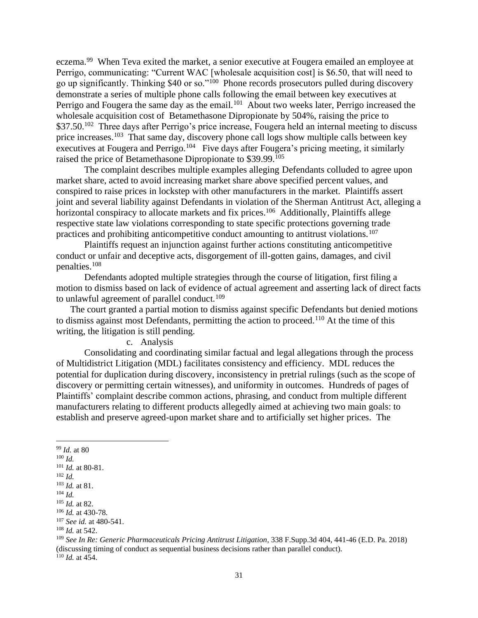eczema.<sup>99</sup> When Teva exited the market, a senior executive at Fougera emailed an employee at Perrigo, communicating: "Current WAC [wholesale acquisition cost] is \$6.50, that will need to go up significantly. Thinking \$40 or so."<sup>100</sup> Phone records prosecutors pulled during discovery demonstrate a series of multiple phone calls following the email between key executives at Perrigo and Fougera the same day as the email.<sup>101</sup> About two weeks later, Perrigo increased the wholesale acquisition cost of Betamethasone Dipropionate by 504%, raising the price to \$37.50.<sup>102</sup> Three days after Perrigo's price increase, Fougera held an internal meeting to discuss price increases.<sup>103</sup> That same day, discovery phone call logs show multiple calls between key executives at Fougera and Perrigo.<sup>104</sup> Five days after Fougera's pricing meeting, it similarly raised the price of Betamethasone Dipropionate to \$39.99.<sup>105</sup>

The complaint describes multiple examples alleging Defendants colluded to agree upon market share, acted to avoid increasing market share above specified percent values, and conspired to raise prices in lockstep with other manufacturers in the market. Plaintiffs assert joint and several liability against Defendants in violation of the Sherman Antitrust Act, alleging a horizontal conspiracy to allocate markets and fix prices.<sup>106</sup> Additionally, Plaintiffs allege respective state law violations corresponding to state specific protections governing trade practices and prohibiting anticompetitive conduct amounting to antitrust violations.<sup>107</sup>

Plaintiffs request an injunction against further actions constituting anticompetitive conduct or unfair and deceptive acts, disgorgement of ill-gotten gains, damages, and civil penalties.<sup>108</sup>

Defendants adopted multiple strategies through the course of litigation, first filing a motion to dismiss based on lack of evidence of actual agreement and asserting lack of direct facts to unlawful agreement of parallel conduct.<sup>109</sup>

The court granted a partial motion to dismiss against specific Defendants but denied motions to dismiss against most Defendants, permitting the action to proceed.<sup>110</sup> At the time of this writing, the litigation is still pending.

c. Analysis

Consolidating and coordinating similar factual and legal allegations through the process of Multidistrict Litigation (MDL) facilitates consistency and efficiency. MDL reduces the potential for duplication during discovery, inconsistency in pretrial rulings (such as the scope of discovery or permitting certain witnesses), and uniformity in outcomes. Hundreds of pages of Plaintiffs' complaint describe common actions, phrasing, and conduct from multiple different manufacturers relating to different products allegedly aimed at achieving two main goals: to establish and preserve agreed-upon market share and to artificially set higher prices. The

<sup>99</sup> *Id.* at 80

- <sup>100</sup> *Id.*
- <sup>101</sup> *Id.* at 80-81.
- <sup>102</sup> *Id.*
- <sup>103</sup> *Id.* at 81.
- <sup>104</sup> *Id.*

<sup>105</sup> *Id.* at 82.

<sup>106</sup> *Id.* at 430-78.

<sup>107</sup> *See id.* at 480-541.

<sup>108</sup> *Id.* at 542.

<sup>109</sup> *See In Re: Generic Pharmaceuticals Pricing Antitrust Litigation*, 338 F.Supp.3d 404, 441-46 (E.D. Pa. 2018) (discussing timing of conduct as sequential business decisions rather than parallel conduct). <sup>110</sup> *Id.* at 454.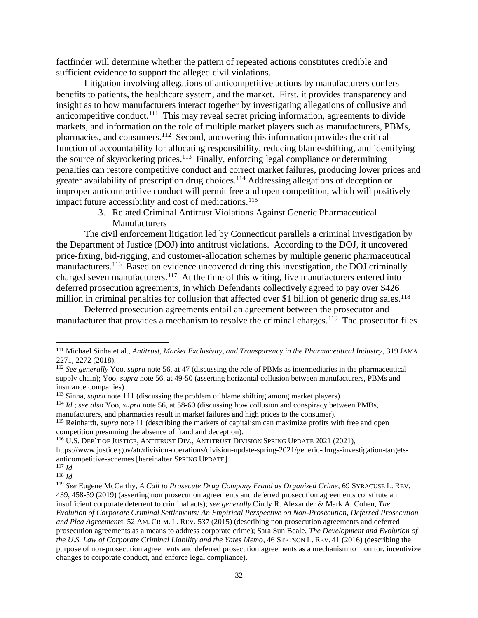factfinder will determine whether the pattern of repeated actions constitutes credible and sufficient evidence to support the alleged civil violations.

Litigation involving allegations of anticompetitive actions by manufacturers confers benefits to patients, the healthcare system, and the market. First, it provides transparency and insight as to how manufacturers interact together by investigating allegations of collusive and anticompetitive conduct.<sup>111</sup> This may reveal secret pricing information, agreements to divide markets, and information on the role of multiple market players such as manufacturers, PBMs, pharmacies, and consumers.<sup>112</sup> Second, uncovering this information provides the critical function of accountability for allocating responsibility, reducing blame-shifting, and identifying the source of skyrocketing prices.<sup>113</sup> Finally, enforcing legal compliance or determining penalties can restore competitive conduct and correct market failures, producing lower prices and greater availability of prescription drug choices.<sup>114</sup> Addressing allegations of deception or improper anticompetitive conduct will permit free and open competition, which will positively impact future accessibility and cost of medications.<sup>115</sup>

> 3. Related Criminal Antitrust Violations Against Generic Pharmaceutical Manufacturers

The civil enforcement litigation led by Connecticut parallels a criminal investigation by the Department of Justice (DOJ) into antitrust violations. According to the DOJ, it uncovered price-fixing, bid-rigging, and customer-allocation schemes by multiple generic pharmaceutical manufacturers.<sup>116</sup> Based on evidence uncovered during this investigation, the DOJ criminally charged seven manufacturers.<sup>117</sup> At the time of this writing, five manufacturers entered into deferred prosecution agreements, in which Defendants collectively agreed to pay over \$426 million in criminal penalties for collusion that affected over \$1 billion of generic drug sales.<sup>118</sup>

Deferred prosecution agreements entail an agreement between the prosecutor and manufacturer that provides a mechanism to resolve the criminal charges.<sup>119</sup> The prosecutor files

https://www.justice.gov/atr/division-operations/division-update-spring-2021/generic-drugs-investigation-targetsanticompetitive-schemes [hereinafter SPRING UPDATE]. <sup>117</sup> *Id.*

<sup>111</sup> Michael Sinha et al., *Antitrust, Market Exclusivity, and Transparency in the Pharmaceutical Industry*, 319 JAMA 2271, 2272 (2018).

<sup>112</sup> *See generally* Yoo, *supra* note 56, at 47 (discussing the role of PBMs as intermediaries in the pharmaceutical supply chain); Yoo, *supra* note 56, at 49-50 (asserting horizontal collusion between manufacturers, PBMs and insurance companies).

<sup>&</sup>lt;sup>113</sup> Sinha, *supra* note 111 (discussing the problem of blame shifting among market players).

<sup>114</sup> *Id.*; *see also* Yoo, *supra* note 56, at 58-60 (discussing how collusion and conspiracy between PMBs, manufacturers, and pharmacies result in market failures and high prices to the consumer).

<sup>115</sup> Reinhardt, *supra* note 11 (describing the markets of capitalism can maximize profits with free and open competition presuming the absence of fraud and deception).

<sup>&</sup>lt;sup>116</sup> U.S. DEP'T OF JUSTICE, ANTITRUST DIV., ANTITRUST DIVISION SPRING UPDATE 2021 (2021),

<sup>118</sup> *Id.*

<sup>119</sup> *See* Eugene McCarthy, *A Call to Prosecute Drug Company Fraud as Organized Crime*, 69 SYRACUSE L. REV. 439, 458-59 (2019) (asserting non prosecution agreements and deferred prosecution agreements constitute an insufficient corporate deterrent to criminal acts); *see generally* Cindy R. Alexander & Mark A. Cohen, *The Evolution of Corporate Criminal Settlements: An Empirical Perspective on Non-Prosecution, Deferred Prosecution and Plea Agreements*, 52 AM. CRIM. L. REV. 537 (2015) (describing non prosecution agreements and deferred prosecution agreements as a means to address corporate crime); Sara Sun Beale, *The Development and Evolution of the U.S. Law of Corporate Criminal Liability and the Yates Memo*, 46 STETSON L. REV. 41 (2016) (describing the purpose of non-prosecution agreements and deferred prosecution agreements as a mechanism to monitor, incentivize changes to corporate conduct, and enforce legal compliance).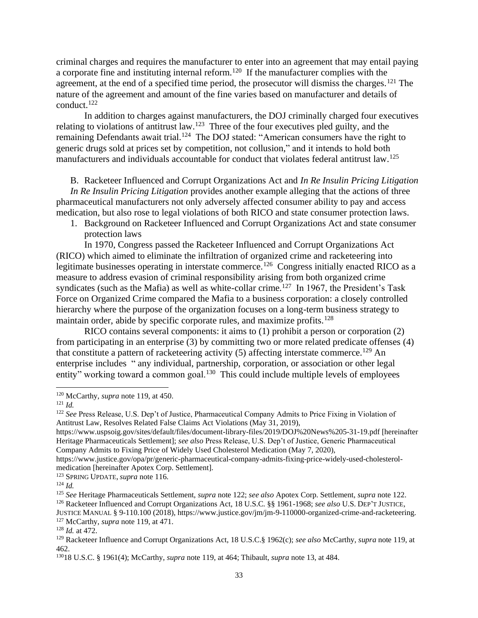criminal charges and requires the manufacturer to enter into an agreement that may entail paying a corporate fine and instituting internal reform.<sup>120</sup> If the manufacturer complies with the agreement, at the end of a specified time period, the prosecutor will dismiss the charges.<sup>121</sup> The nature of the agreement and amount of the fine varies based on manufacturer and details of conduct.<sup>122</sup>

In addition to charges against manufacturers, the DOJ criminally charged four executives relating to violations of antitrust law.<sup>123</sup> Three of the four executives pled guilty, and the remaining Defendants await trial.<sup>124</sup> The DOJ stated: "American consumers have the right to generic drugs sold at prices set by competition, not collusion," and it intends to hold both manufacturers and individuals accountable for conduct that violates federal antitrust law.<sup>125</sup>

# B. Racketeer Influenced and Corrupt Organizations Act and *In Re Insulin Pricing Litigation*

*In Re Insulin Pricing Litigation* provides another example alleging that the actions of three pharmaceutical manufacturers not only adversely affected consumer ability to pay and access medication, but also rose to legal violations of both RICO and state consumer protection laws.

1. Background on Racketeer Influenced and Corrupt Organizations Act and state consumer protection laws

In 1970, Congress passed the Racketeer Influenced and Corrupt Organizations Act (RICO) which aimed to eliminate the infiltration of organized crime and racketeering into legitimate businesses operating in interstate commerce.<sup>126</sup> Congress initially enacted RICO as a measure to address evasion of criminal responsibility arising from both organized crime syndicates (such as the Mafia) as well as white-collar crime.<sup>127</sup> In 1967, the President's Task Force on Organized Crime compared the Mafia to a business corporation: a closely controlled hierarchy where the purpose of the organization focuses on a long-term business strategy to maintain order, abide by specific corporate rules, and maximize profits.<sup>128</sup>

RICO contains several components: it aims to (1) prohibit a person or corporation (2) from participating in an enterprise (3) by committing two or more related predicate offenses (4) that constitute a pattern of racketeering activity  $(5)$  affecting interstate commerce.<sup>129</sup> An enterprise includes " any individual, partnership, corporation, or association or other legal entity" working toward a common goal.<sup>130</sup> This could include multiple levels of employees

https://www.justice.gov/opa/pr/generic-pharmaceutical-company-admits-fixing-price-widely-used-cholesterolmedication [hereinafter Apotex Corp. Settlement].

<sup>120</sup> McCarthy, *supra* note 119, at 450.

<sup>121</sup> *Id.*

<sup>&</sup>lt;sup>122</sup> See Press Release, U.S. Dep't of Justice, Pharmaceutical Company Admits to Price Fixing in Violation of Antitrust Law, Resolves Related False Claims Act Violations (May 31, 2019),

https://www.uspsoig.gov/sites/default/files/document-library-files/2019/DOJ%20News%205-31-19.pdf [hereinafter Heritage Pharmaceuticals Settlement]; *see also* Press Release, U.S. Dep't of Justice, Generic Pharmaceutical Company Admits to Fixing Price of Widely Used Cholesterol Medication (May 7, 2020),

<sup>123</sup> SPRING UPDATE, *supra* note 116.

<sup>124</sup> *Id.*

<sup>125</sup> *See* Heritage Pharmaceuticals Settlement, *supra* note 122; *see also* Apotex Corp. Settlement, *supra* note 122. <sup>126</sup> Racketeer Influenced and Corrupt Organizations Act, 18 U.S.C. §§ 1961-1968; *see also* U.S. DEP'T JUSTICE, JUSTICE MANUAL § 9-110.100 (2018), https://www.justice.gov/jm/jm-9-110000-organized-crime-and-racketeering.

<sup>127</sup> McCarthy, *supra* note 119, at 471.

<sup>128</sup> *Id.* at 472.

<sup>129</sup> Racketeer Influence and Corrupt Organizations Act, 18 U.S.C.§ 1962(c); *see also* McCarthy, *supra* note 119, at 462.

<sup>130</sup>18 U.S.C. § 1961(4); McCarthy, *supra* note 119, at 464; Thibault, *supra* note 13, at 484.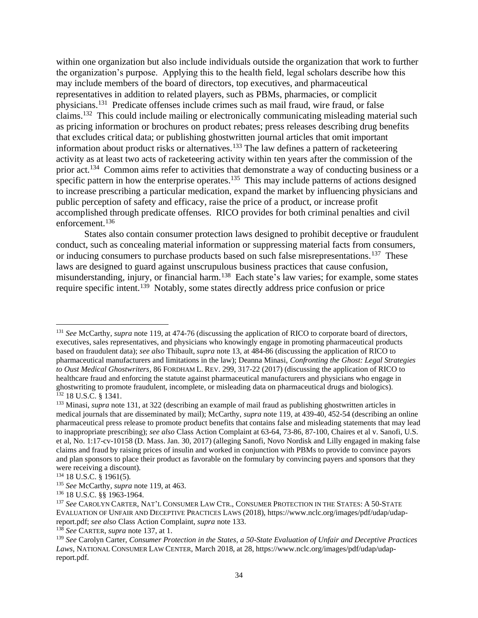within one organization but also include individuals outside the organization that work to further the organization's purpose. Applying this to the health field, legal scholars describe how this may include members of the board of directors, top executives, and pharmaceutical representatives in addition to related players, such as PBMs, pharmacies, or complicit physicians.<sup>131</sup> Predicate offenses include crimes such as mail fraud, wire fraud, or false claims.<sup>132</sup> This could include mailing or electronically communicating misleading material such as pricing information or brochures on product rebates; press releases describing drug benefits that excludes critical data; or publishing ghostwritten journal articles that omit important information about product risks or alternatives.<sup>133</sup> The law defines a pattern of racketeering activity as at least two acts of racketeering activity within ten years after the commission of the prior act.<sup>134</sup> Common aims refer to activities that demonstrate a way of conducting business or a specific pattern in how the enterprise operates.<sup>135</sup> This may include patterns of actions designed to increase prescribing a particular medication, expand the market by influencing physicians and public perception of safety and efficacy, raise the price of a product, or increase profit accomplished through predicate offenses. RICO provides for both criminal penalties and civil enforcement. 136

States also contain consumer protection laws designed to prohibit deceptive or fraudulent conduct, such as concealing material information or suppressing material facts from consumers, or inducing consumers to purchase products based on such false misrepresentations.<sup>137</sup> These laws are designed to guard against unscrupulous business practices that cause confusion, misunderstanding, injury, or financial harm.<sup>138</sup> Each state's law varies; for example, some states require specific intent.<sup>139</sup> Notably, some states directly address price confusion or price

<sup>131</sup> *See* McCarthy, *supra* note 119, at 474-76 (discussing the application of RICO to corporate board of directors, executives, sales representatives, and physicians who knowingly engage in promoting pharmaceutical products based on fraudulent data); *see also* Thibault, *supra* note 13, at 484-86 (discussing the application of RICO to pharmaceutical manufacturers and limitations in the law); Deanna Minasi, *Confronting the Ghost: Legal Strategies to Oust Medical Ghostwriters*, 86 FORDHAM L. REV. 299, 317-22 (2017) (discussing the application of RICO to healthcare fraud and enforcing the statute against pharmaceutical manufacturers and physicians who engage in ghostwriting to promote fraudulent, incomplete, or misleading data on pharmaceutical drugs and biologics). <sup>132</sup> 18 U.S.C. § 1341.

<sup>133</sup> Minasi, *supra* note 131, at 322 (describing an example of mail fraud as publishing ghostwritten articles in medical journals that are disseminated by mail); McCarthy, *supra* note 119, at 439-40, 452-54 (describing an online pharmaceutical press release to promote product benefits that contains false and misleading statements that may lead to inappropriate prescribing); *see also* Class Action Complaint at 63-64, 73-86, 87-100, Chaires et al v. Sanofi, U.S. et al, No. 1:17-cv-10158 (D. Mass. Jan. 30, 2017) (alleging Sanofi, Novo Nordisk and Lilly engaged in making false claims and fraud by raising prices of insulin and worked in conjunction with PBMs to provide to convince payors and plan sponsors to place their product as favorable on the formulary by convincing payers and sponsors that they were receiving a discount).

<sup>134</sup> 18 U.S.C. § 1961(5).

<sup>135</sup> *See* McCarthy, *supra* note 119, at 463.

<sup>136</sup> 18 U.S.C. §§ 1963-1964.

<sup>137</sup> *See* CAROLYN CARTER, NAT'L CONSUMER LAW CTR., CONSUMER PROTECTION IN THE STATES: A 50-STATE EVALUATION OF UNFAIR AND DECEPTIVE PRACTICES LAWS (2018), https://www.nclc.org/images/pdf/udap/udapreport.pdf; *see also* Class Action Complaint, *supra* note 133.

<sup>138</sup> *See* CARTER, *supra* note 137, at 1.

<sup>139</sup> *See* Carolyn Carter, *Consumer Protection in the States, a 50-State Evaluation of Unfair and Deceptive Practices Laws*, NATIONAL CONSUMER LAW CENTER, March 2018, at 28, https://www.nclc.org/images/pdf/udap/udapreport.pdf.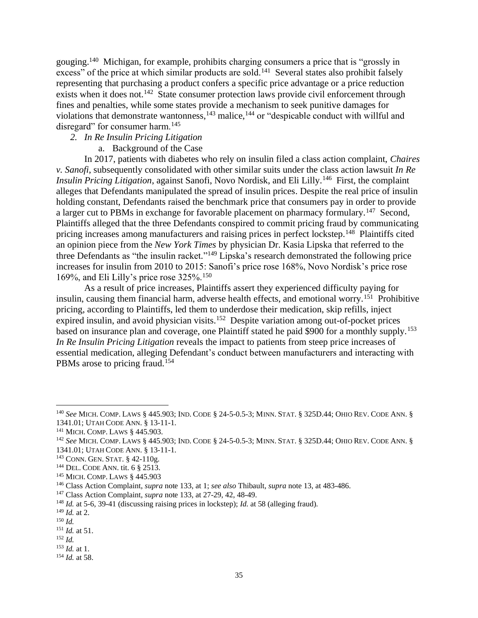gouging.<sup>140</sup> Michigan, for example, prohibits charging consumers a price that is "grossly in excess" of the price at which similar products are sold.<sup>141</sup> Several states also prohibit falsely representing that purchasing a product confers a specific price advantage or a price reduction exists when it does not.<sup>142</sup> State consumer protection laws provide civil enforcement through fines and penalties, while some states provide a mechanism to seek punitive damages for violations that demonstrate wantonness, $143$  malice,  $144$  or "despicable conduct with willful and disregard" for consumer harm.<sup>145</sup>

# *2. In Re Insulin Pricing Litigation*

a. Background of the Case

In 2017, patients with diabetes who rely on insulin filed a class action complaint, *Chaires v. Sanofi*, subsequently consolidated with other similar suits under the class action lawsuit *In Re Insulin Pricing Litigation*, against Sanofi, Novo Nordisk, and Eli Lilly.<sup>146</sup> First, the complaint alleges that Defendants manipulated the spread of insulin prices. Despite the real price of insulin holding constant, Defendants raised the benchmark price that consumers pay in order to provide a larger cut to PBMs in exchange for favorable placement on pharmacy formulary.<sup>147</sup> Second, Plaintiffs alleged that the three Defendants conspired to commit pricing fraud by communicating pricing increases among manufacturers and raising prices in perfect lockstep.<sup>148</sup> Plaintiffs cited an opinion piece from the *New York Times* by physician Dr. Kasia Lipska that referred to the three Defendants as "the insulin racket."<sup>149</sup> Lipska's research demonstrated the following price increases for insulin from 2010 to 2015: Sanofi's price rose 168%, Novo Nordisk's price rose 169%, and Eli Lilly's price rose 325%.<sup>150</sup>

As a result of price increases, Plaintiffs assert they experienced difficulty paying for insulin, causing them financial harm, adverse health effects, and emotional worry.<sup>151</sup> Prohibitive pricing, according to Plaintiffs, led them to underdose their medication, skip refills, inject expired insulin, and avoid physician visits.<sup>152</sup> Despite variation among out-of-pocket prices based on insurance plan and coverage, one Plaintiff stated he paid \$900 for a monthly supply.<sup>153</sup> *In Re Insulin Pricing Litigation* reveals the impact to patients from steep price increases of essential medication, alleging Defendant's conduct between manufacturers and interacting with PBMs arose to pricing fraud.<sup>154</sup>

<sup>153</sup> *Id.* at 1.

<sup>140</sup> *See* MICH. COMP. LAWS § 445.903; IND. CODE § 24-5-0.5-3; MINN.STAT. § 325D.44; OHIO REV. CODE ANN. § 1341.01; UTAH CODE ANN. § 13-11-1.

<sup>141</sup> MICH. COMP. LAWS § 445.903.

<sup>142</sup> *See* MICH. COMP. LAWS § 445.903; IND. CODE § 24-5-0.5-3; MINN.STAT. § 325D.44; OHIO REV. CODE ANN. § 1341.01; UTAH CODE ANN. § 13-11-1.

<sup>&</sup>lt;sup>143</sup> CONN. GEN. STAT. § 42-110g.

<sup>144</sup> DEL. CODE ANN. tit. 6 § 2513.

<sup>145</sup> MICH. COMP. LAWS § 445.903

<sup>146</sup> Class Action Complaint, *supra* note 133, at 1; *see also* Thibault, *supra* note 13, at 483-486.

<sup>147</sup> Class Action Complaint, *supra* note 133, at 27-29, 42, 48-49.

<sup>148</sup> *Id.* at 5-6, 39-41 (discussing raising prices in lockstep); *Id.* at 58 (alleging fraud).

<sup>149</sup> *Id.* at 2.

<sup>150</sup> *Id.*

<sup>151</sup> *Id.* at 51.

<sup>152</sup> *Id.*

<sup>154</sup> *Id.* at 58.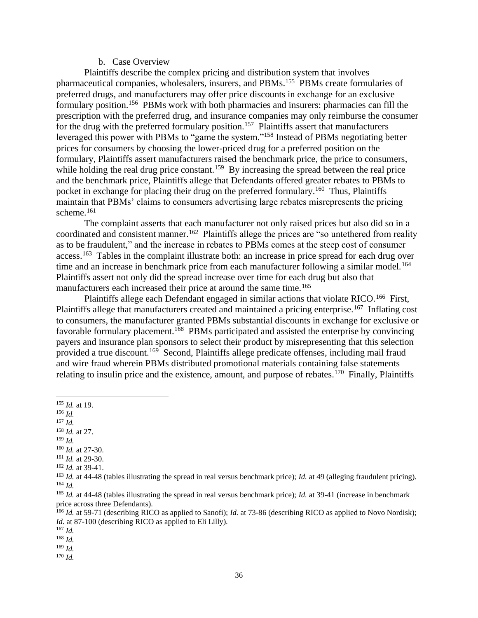#### b. Case Overview

Plaintiffs describe the complex pricing and distribution system that involves pharmaceutical companies, wholesalers, insurers, and PBMs.<sup>155</sup> PBMs create formularies of preferred drugs, and manufacturers may offer price discounts in exchange for an exclusive formulary position.<sup>156</sup> PBMs work with both pharmacies and insurers: pharmacies can fill the prescription with the preferred drug, and insurance companies may only reimburse the consumer for the drug with the preferred formulary position.<sup>157</sup> Plaintiffs assert that manufacturers leveraged this power with PBMs to "game the system."<sup>158</sup> Instead of PBMs negotiating better prices for consumers by choosing the lower-priced drug for a preferred position on the formulary, Plaintiffs assert manufacturers raised the benchmark price, the price to consumers, while holding the real drug price constant.<sup>159</sup> By increasing the spread between the real price and the benchmark price, Plaintiffs allege that Defendants offered greater rebates to PBMs to pocket in exchange for placing their drug on the preferred formulary.<sup>160</sup> Thus, Plaintiffs maintain that PBMs' claims to consumers advertising large rebates misrepresents the pricing scheme.<sup>161</sup>

The complaint asserts that each manufacturer not only raised prices but also did so in a coordinated and consistent manner.<sup>162</sup> Plaintiffs allege the prices are "so untethered from reality as to be fraudulent," and the increase in rebates to PBMs comes at the steep cost of consumer access.<sup>163</sup> Tables in the complaint illustrate both: an increase in price spread for each drug over time and an increase in benchmark price from each manufacturer following a similar model.<sup>164</sup> Plaintiffs assert not only did the spread increase over time for each drug but also that manufacturers each increased their price at around the same time.<sup>165</sup>

Plaintiffs allege each Defendant engaged in similar actions that violate RICO.<sup>166</sup> First, Plaintiffs allege that manufacturers created and maintained a pricing enterprise.<sup>167</sup> Inflating cost to consumers, the manufacturer granted PBMs substantial discounts in exchange for exclusive or favorable formulary placement.<sup>168</sup> PBMs participated and assisted the enterprise by convincing payers and insurance plan sponsors to select their product by misrepresenting that this selection provided a true discount.<sup>169</sup> Second, Plaintiffs allege predicate offenses, including mail fraud and wire fraud wherein PBMs distributed promotional materials containing false statements relating to insulin price and the existence, amount, and purpose of rebates.<sup>170</sup> Finally, Plaintiffs

- <sup>156</sup> *Id.*
- <sup>157</sup> *Id.*
- <sup>158</sup> *Id.* at 27. <sup>159</sup> *Id.*
- 
- <sup>160</sup> *Id.* at 27-30. <sup>161</sup> *Id.* at 29-30.
- <sup>162</sup> *Id.* at 39-41.
- 

<sup>170</sup> *Id.*

<sup>155</sup> *Id.* at 19.

<sup>163</sup> *Id.* at 44-48 (tables illustrating the spread in real versus benchmark price); *Id.* at 49 (alleging fraudulent pricing). <sup>164</sup> *Id.*

<sup>165</sup> *Id.* at 44-48 (tables illustrating the spread in real versus benchmark price); *Id.* at 39-41 (increase in benchmark price across three Defendants).

<sup>&</sup>lt;sup>166</sup> *Id.* at 59-71 (describing RICO as applied to Sanofi); *Id.* at 73-86 (describing RICO as applied to Novo Nordisk); *Id.* at 87-100 (describing RICO as applied to Eli Lilly).

<sup>167</sup> *Id.* <sup>168</sup> *Id.*

<sup>169</sup> *Id.*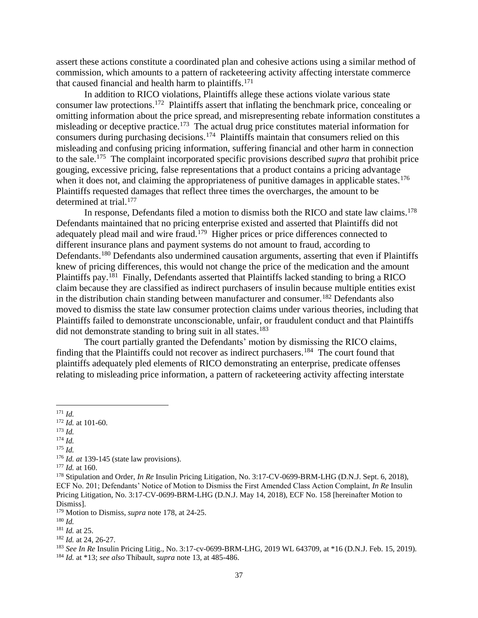assert these actions constitute a coordinated plan and cohesive actions using a similar method of commission, which amounts to a pattern of racketeering activity affecting interstate commerce that caused financial and health harm to plaintiffs.<sup>171</sup>

In addition to RICO violations, Plaintiffs allege these actions violate various state consumer law protections.<sup>172</sup> Plaintiffs assert that inflating the benchmark price, concealing or omitting information about the price spread, and misrepresenting rebate information constitutes a misleading or deceptive practice.<sup>173</sup> The actual drug price constitutes material information for consumers during purchasing decisions.<sup>174</sup> Plaintiffs maintain that consumers relied on this misleading and confusing pricing information, suffering financial and other harm in connection to the sale.<sup>175</sup> The complaint incorporated specific provisions described *supra* that prohibit price gouging, excessive pricing, false representations that a product contains a pricing advantage when it does not, and claiming the appropriateness of punitive damages in applicable states.<sup>176</sup> Plaintiffs requested damages that reflect three times the overcharges, the amount to be determined at trial.<sup>177</sup>

In response, Defendants filed a motion to dismiss both the RICO and state law claims.<sup>178</sup> Defendants maintained that no pricing enterprise existed and asserted that Plaintiffs did not adequately plead mail and wire fraud.<sup>179</sup> Higher prices or price differences connected to different insurance plans and payment systems do not amount to fraud, according to Defendants.<sup>180</sup> Defendants also undermined causation arguments, asserting that even if Plaintiffs knew of pricing differences, this would not change the price of the medication and the amount Plaintiffs pay.<sup>181</sup> Finally, Defendants asserted that Plaintiffs lacked standing to bring a RICO claim because they are classified as indirect purchasers of insulin because multiple entities exist in the distribution chain standing between manufacturer and consumer.<sup>182</sup> Defendants also moved to dismiss the state law consumer protection claims under various theories, including that Plaintiffs failed to demonstrate unconscionable, unfair, or fraudulent conduct and that Plaintiffs did not demonstrate standing to bring suit in all states.<sup>183</sup>

The court partially granted the Defendants' motion by dismissing the RICO claims, finding that the Plaintiffs could not recover as indirect purchasers.<sup>184</sup> The court found that plaintiffs adequately pled elements of RICO demonstrating an enterprise, predicate offenses relating to misleading price information, a pattern of racketeering activity affecting interstate

<sup>171</sup> *Id.*

<sup>175</sup> *Id.*

<sup>172</sup> *Id.* at 101-60.

<sup>173</sup> *Id.*

<sup>174</sup> *Id.*

<sup>176</sup> *Id. at* 139-145 (state law provisions).

<sup>177</sup> *Id.* at 160.

<sup>&</sup>lt;sup>178</sup> Stipulation and Order, *In Re* Insulin Pricing Litigation, No. 3:17-CV-0699-BRM-LHG (D.N.J. Sept. 6, 2018), ECF No. 201; Defendants' Notice of Motion to Dismiss the First Amended Class Action Complaint, *In Re* Insulin Pricing Litigation, No. 3:17-CV-0699-BRM-LHG (D.N.J. May 14, 2018), ECF No. 158 [hereinafter Motion to Dismiss].

<sup>179</sup> Motion to Dismiss, *supra* note 178, at 24-25.

<sup>180</sup> *Id.*

<sup>181</sup> *Id.* at 25.

<sup>182</sup> *Id.* at 24, 26-27.

<sup>183</sup> *See In Re* Insulin Pricing Litig., No. 3:17-cv-0699-BRM-LHG, 2019 WL 643709, at \*16 (D.N.J. Feb. 15, 2019). <sup>184</sup> *Id.* at \*13; *see also* Thibault, *supra* note 13, at 485-486.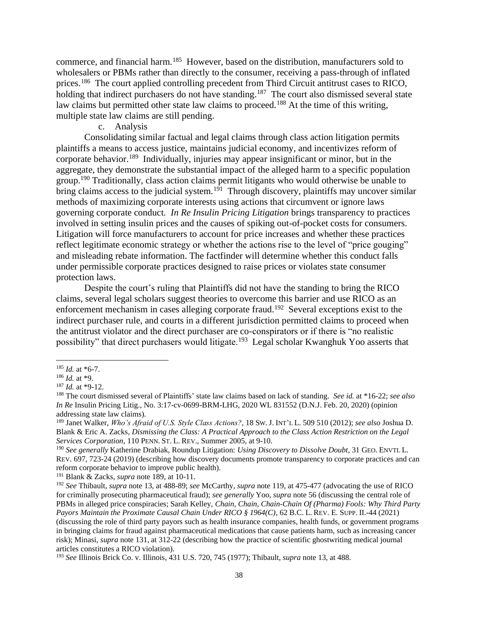commerce, and financial harm.<sup>185</sup> However, based on the distribution, manufacturers sold to wholesalers or PBMs rather than directly to the consumer, receiving a pass-through of inflated prices.<sup>186</sup> The court applied controlling precedent from Third Circuit antitrust cases to RICO, holding that indirect purchasers do not have standing.<sup>187</sup> The court also dismissed several state law claims but permitted other state law claims to proceed.<sup>188</sup> At the time of this writing, multiple state law claims are still pending.

#### c. Analysis

Consolidating similar factual and legal claims through class action litigation permits plaintiffs a means to access justice, maintains judicial economy, and incentivizes reform of corporate behavior.<sup>189</sup> Individually, injuries may appear insignificant or minor, but in the aggregate, they demonstrate the substantial impact of the alleged harm to a specific population group.<sup>190</sup> Traditionally, class action claims permit litigants who would otherwise be unable to bring claims access to the judicial system.<sup>191</sup> Through discovery, plaintiffs may uncover similar methods of maximizing corporate interests using actions that circumvent or ignore laws governing corporate conduct. *In Re Insulin Pricing Litigation* brings transparency to practices involved in setting insulin prices and the causes of spiking out-of-pocket costs for consumers. Litigation will force manufacturers to account for price increases and whether these practices reflect legitimate economic strategy or whether the actions rise to the level of "price gouging" and misleading rebate information. The factfinder will determine whether this conduct falls under permissible corporate practices designed to raise prices or violates state consumer protection laws.

Despite the court's ruling that Plaintiffs did not have the standing to bring the RICO claims, several legal scholars suggest theories to overcome this barrier and use RICO as an enforcement mechanism in cases alleging corporate fraud.<sup>192</sup> Several exceptions exist to the indirect purchaser rule, and courts in a different jurisdiction permitted claims to proceed when the antitrust violator and the direct purchaser are co-conspirators or if there is "no realistic possibility" that direct purchasers would litigate.<sup>193</sup> Legal scholar Kwanghuk Yoo asserts that

 $185$  *Id.* at \*6-7.

<sup>186</sup> *Id.* at \*9.

<sup>187</sup> *Id.* at \*9-12.

<sup>188</sup> The court dismissed several of Plaintiffs' state law claims based on lack of standing. *See id.* at \*16-22; *see also In Re* Insulin Pricing Litig., No. 3:17-cv-0699-BRM-LHG, 2020 WL 831552 (D.N.J. Feb. 20, 2020) (opinion addressing state law claims).

<sup>189</sup> Janet Walker, *Who's Afraid of U.S. Style Class Actions?*, 18 SW. J. INT'L L. 509 510 (2012); *see also* Joshua D. Blank & Eric A. Zacks, *Dismissing the Class: A Practical Approach to the Class Action Restriction on the Legal Services Corporation*, 110 PENN.ST. L. REV., Summer 2005, at 9-10.

<sup>190</sup> *See generally* Katherine Drabiak, Roundup Litigation: *Using Discovery to Dissolve Doubt*, 31 GEO. ENVTL L. REV. 697, 723-24 (2019) (describing how discovery documents promote transparency to corporate practices and can reform corporate behavior to improve public health).

<sup>191</sup> Blank & Zacks, *supra* note 189, at 10-11.

<sup>192</sup> *See* Thibault, *supra* note 13, at 488-89; *see* McCarthy, *supra* note 119, at 475-477 (advocating the use of RICO for criminally prosecuting pharmaceutical fraud); *see generally* Yoo, *supra* note 56 (discussing the central role of PBMs in alleged price conspiracies; Sarah Kelley, *Chain, Chain, Chain-Chain Of (Pharma) Fools: Why Third Party Payors Maintain the Proximate Causal Chain Under RICO § 1964(C)*, 62 B.C. L. REV. E. SUPP. II.-44 (2021) (discussing the role of third party payors such as health insurance companies, health funds, or government programs in bringing claims for fraud against pharmaceutical medications that cause patients harm, such as increasing cancer risk); Minasi, *supra* note 131, at 312-22 (describing how the practice of scientific ghostwriting medical journal articles constitutes a RICO violation).

<sup>193</sup> *See* Illinois Brick Co. v. Illinois, 431 U.S. 720, 745 (1977); Thibault, *supra* note 13, at 488.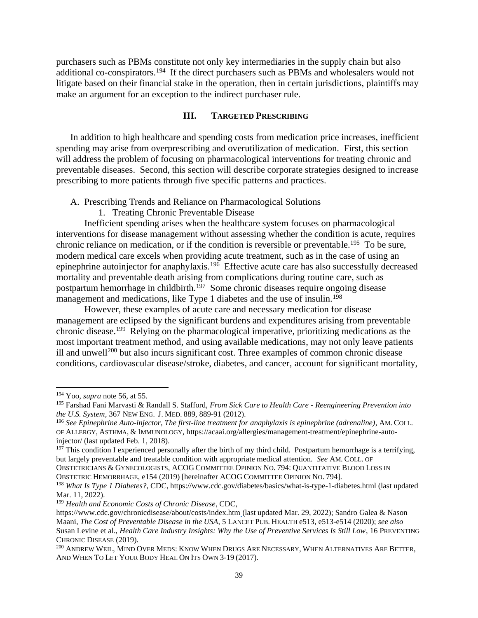purchasers such as PBMs constitute not only key intermediaries in the supply chain but also additional co-conspirators.<sup>194</sup> If the direct purchasers such as PBMs and wholesalers would not litigate based on their financial stake in the operation, then in certain jurisdictions, plaintiffs may make an argument for an exception to the indirect purchaser rule.

# **III. TARGETED PRESCRIBING**

In addition to high healthcare and spending costs from medication price increases, inefficient spending may arise from overprescribing and overutilization of medication. First, this section will address the problem of focusing on pharmacological interventions for treating chronic and preventable diseases. Second, this section will describe corporate strategies designed to increase prescribing to more patients through five specific patterns and practices.

- A. Prescribing Trends and Reliance on Pharmacological Solutions
	- 1. Treating Chronic Preventable Disease

Inefficient spending arises when the healthcare system focuses on pharmacological interventions for disease management without assessing whether the condition is acute, requires chronic reliance on medication, or if the condition is reversible or preventable.<sup>195</sup> To be sure, modern medical care excels when providing acute treatment, such as in the case of using an epinephrine autoinjector for anaphylaxis.<sup>196</sup> Effective acute care has also successfully decreased mortality and preventable death arising from complications during routine care, such as postpartum hemorrhage in childbirth.<sup>197</sup> Some chronic diseases require ongoing disease management and medications, like Type 1 diabetes and the use of insulin.<sup>198</sup>

However, these examples of acute care and necessary medication for disease management are eclipsed by the significant burdens and expenditures arising from preventable chronic disease.<sup>199</sup> Relying on the pharmacological imperative, prioritizing medications as the most important treatment method, and using available medications, may not only leave patients ill and unwell<sup>200</sup> but also incurs significant cost. Three examples of common chronic disease conditions, cardiovascular disease/stroke, diabetes, and cancer, account for significant mortality,

<sup>194</sup> Yoo, *supra* note 56, at 55.

<sup>195</sup> Farshad Fani Marvasti & Randall S. Stafford, *From Sick Care to Health Care - Reengineering Prevention into the U.S. System*, 367 NEW ENG. J. MED. 889, 889-91 (2012).

<sup>196</sup> *See Epinephrine Auto-injector, The first-line treatment for anaphylaxis is epinephrine (adrenaline)*, AM. COLL. OF ALLERGY, ASTHMA, & IMMUNOLOGY, https://acaai.org/allergies/management-treatment/epinephrine-autoinjector/ (last updated Feb. 1, 2018).

 $197$  This condition I experienced personally after the birth of my third child. Postpartum hemorrhage is a terrifying, but largely preventable and treatable condition with appropriate medical attention. *See* AM. COLL. OF OBSTETRICIANS & GYNECOLOGISTS, ACOG COMMITTEE OPINION NO. 794: QUANTITATIVE BLOOD LOSS IN

OBSTETRIC HEMORRHAGE, e154 (2019) [hereinafter ACOG COMMITTEE OPINION NO. 794].

<sup>&</sup>lt;sup>198</sup> What Is Type 1 Diabetes?, CDC, https://www.cdc.gov/diabetes/basics/what-is-type-1-diabetes.html (last updated Mar. 11, 2022).

<sup>199</sup> *Health and Economic Costs of Chronic Disease*, CDC,

https://www.cdc.gov/chronicdisease/about/costs/index.htm (last updated Mar. 29, 2022); Sandro Galea & Nason Maani, *The Cost of Preventable Disease in the USA*, 5 LANCET PUB. HEALTH e513, e513-e514 (2020); *see also* Susan Levine et al., *Health Care Industry Insights: Why the Use of Preventive Services Is Still Low*, 16 PREVENTING CHRONIC DISEASE (2019).

<sup>200</sup> ANDREW WEIL, MIND OVER MEDS: KNOW WHEN DRUGS ARE NECESSARY, WHEN ALTERNATIVES ARE BETTER, AND WHEN TO LET YOUR BODY HEAL ON ITS OWN 3-19 (2017).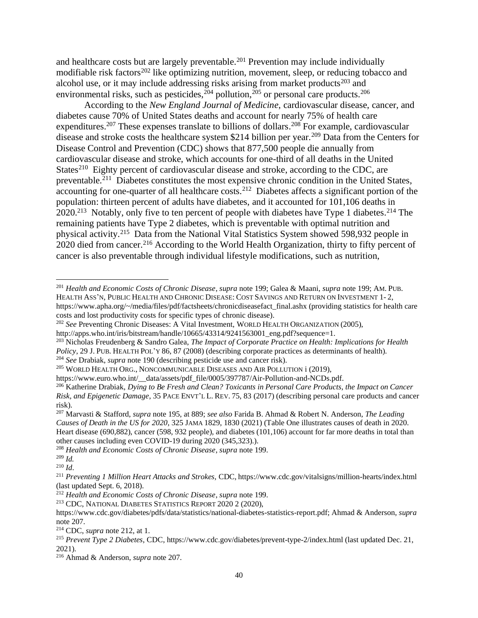and healthcare costs but are largely preventable.<sup>201</sup> Prevention may include individually modifiable risk factors<sup>202</sup> like optimizing nutrition, movement, sleep, or reducing tobacco and alcohol use, or it may include addressing risks arising from market products $203$  and environmental risks, such as pesticides,  $204$  pollution,  $205$  or personal care products.  $206$ 

According to the *New England Journal of Medicine*, cardiovascular disease, cancer, and diabetes cause 70% of United States deaths and account for nearly 75% of health care expenditures.<sup>207</sup> These expenses translate to billions of dollars.<sup>208</sup> For example, cardiovascular disease and stroke costs the healthcare system \$214 billion per year.<sup>209</sup> Data from the Centers for Disease Control and Prevention (CDC) shows that 877,500 people die annually from cardiovascular disease and stroke, which accounts for one-third of all deaths in the United States<sup>210</sup> Eighty percent of cardiovascular disease and stroke, according to the CDC, are preventable.<sup>211</sup> Diabetes constitutes the most expensive chronic condition in the United States, accounting for one-quarter of all healthcare costs.<sup>212</sup> Diabetes affects a significant portion of the population: thirteen percent of adults have diabetes, and it accounted for 101,106 deaths in 2020.<sup>213</sup> Notably, only five to ten percent of people with diabetes have Type 1 diabetes.<sup>214</sup> The remaining patients have Type 2 diabetes, which is preventable with optimal nutrition and physical activity.<sup>215</sup> Data from the National Vital Statistics System showed 598,932 people in 2020 died from cancer.<sup>216</sup> According to the World Health Organization, thirty to fifty percent of cancer is also preventable through individual lifestyle modifications, such as nutrition,

<sup>202</sup> *See* Preventing Chronic Diseases: A Vital Investment, WORLD HEALTH ORGANIZATION (2005),

<sup>205</sup> WORLD HEALTH ORG., NONCOMMUNICABLE DISEASES AND AIR POLLUTION i (2019),

<sup>208</sup> *Health and Economic Costs of Chronic Disease*, *supra* note 199.

<sup>213</sup> CDC, NATIONAL DIABETES STATISTICS REPORT 2020 2 (2020),

<sup>201</sup> *Health and Economic Costs of Chronic Disease*, *supra* note 199; Galea & Maani, *supra* note 199; AM.PUB. HEALTH ASS'N, PUBLIC HEALTH AND CHRONIC DISEASE: COST SAVINGS AND RETURN ON INVESTMENT 1- 2, https://www.apha.org/~/media/files/pdf/factsheets/chronicdiseasefact\_final.ashx (providing statistics for health care costs and lost productivity costs for specific types of chronic disease).

http://apps.who.int/iris/bitstream/handle/10665/43314/9241563001\_eng.pdf?sequence=1.

<sup>203</sup> Nicholas Freudenberg & Sandro Galea, *The Impact of Corporate Practice on Health: Implications for Health Policy*, 29 J.PUB. HEALTH POL'Y 86, 87 (2008) (describing corporate practices as determinants of health). <sup>204</sup> *See* Drabiak, *supra* note 190 (describing pesticide use and cancer risk).

https://www.euro.who.int/\_\_data/assets/pdf\_file/0005/397787/Air-Pollution-and-NCDs.pdf.

<sup>206</sup> Katherine Drabiak, *Dying to Be Fresh and Clean? Toxicants in Personal Care Products, the Impact on Cancer Risk, and Epigenetic Damage*, 35 PACE ENVT'L L. REV. 75, 83 (2017) (describing personal care products and cancer risk).

<sup>207</sup> Marvasti & Stafford, *supra* note 195, at 889; *see also* Farida B. Ahmad & Robert N. Anderson, *The Leading Causes of Death in the US for 2020*, 325 JAMA 1829, 1830 (2021) (Table One illustrates causes of death in 2020. Heart disease (690,882), cancer (598, 932 people), and diabetes (101,106) account for far more deaths in total than other causes including even COVID-19 during 2020 (345,323).).

<sup>209</sup> *Id.*

<sup>210</sup> *Id*.

<sup>211</sup> *Preventing 1 Million Heart Attacks and Strokes,* CDC, https://www.cdc.gov/vitalsigns/million-hearts/index.html (last updated Sept. 6, 2018).

<sup>212</sup> *Health and Economic Costs of Chronic Disease*, *supra* note 199.

https://www.cdc.gov/diabetes/pdfs/data/statistics/national-diabetes-statistics-report.pdf; Ahmad & Anderson, *supra* note 207.

<sup>214</sup> CDC, *supra* note 212, at 1.

<sup>215</sup> *Prevent Type 2 Diabetes*, CDC, https://www.cdc.gov/diabetes/prevent-type-2/index.html (last updated Dec. 21, 2021).

<sup>216</sup> Ahmad & Anderson, *supra* note 207.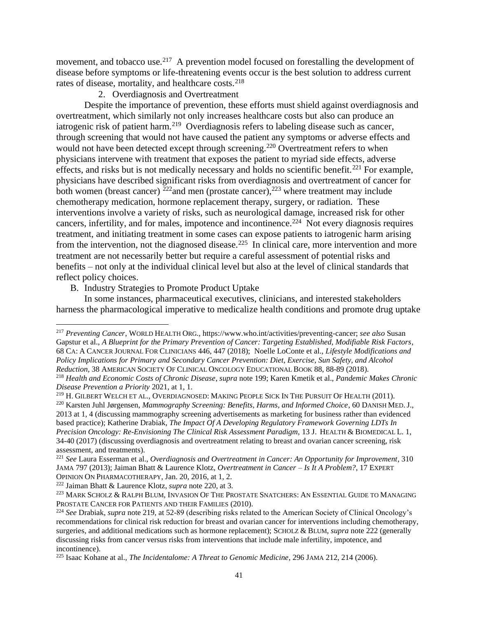movement, and tobacco use.<sup>217</sup> A prevention model focused on forestalling the development of disease before symptoms or life-threatening events occur is the best solution to address current rates of disease, mortality, and healthcare costs.<sup>218</sup>

2. Overdiagnosis and Overtreatment

Despite the importance of prevention, these efforts must shield against overdiagnosis and overtreatment, which similarly not only increases healthcare costs but also can produce an iatrogenic risk of patient harm.<sup>219</sup> Overdiagnosis refers to labeling disease such as cancer, through screening that would not have caused the patient any symptoms or adverse effects and would not have been detected except through screening.<sup>220</sup> Overtreatment refers to when physicians intervene with treatment that exposes the patient to myriad side effects, adverse effects, and risks but is not medically necessary and holds no scientific benefit.<sup>221</sup> For example, physicians have described significant risks from overdiagnosis and overtreatment of cancer for both women (breast cancer)  $\frac{\Sigma_{22}}{2}$  and men (prostate cancer),  $\Sigma_{23}$  where treatment may include chemotherapy medication, hormone replacement therapy, surgery, or radiation. These interventions involve a variety of risks, such as neurological damage, increased risk for other cancers, infertility, and for males, impotence and incontinence.<sup>224</sup> Not every diagnosis requires treatment, and initiating treatment in some cases can expose patients to iatrogenic harm arising from the intervention, not the diagnosed disease.<sup>225</sup> In clinical care, more intervention and more treatment are not necessarily better but require a careful assessment of potential risks and benefits – not only at the individual clinical level but also at the level of clinical standards that reflect policy choices.

B. Industry Strategies to Promote Product Uptake

In some instances, pharmaceutical executives, clinicians, and interested stakeholders harness the pharmacological imperative to medicalize health conditions and promote drug uptake

<sup>220</sup> Karsten Juhl Jørgensen, *Mammography Screening: Benefits, Harms, and Informed Choice*, 60 DANISH MED.J., 2013 at 1, 4 (discussing mammography screening advertisements as marketing for business rather than evidenced based practice); Katherine Drabiak, *The Impact Of A Developing Regulatory Framework Governing LDTs In Precision Oncology: Re-Envisioning The Clinical Risk Assessment Paradigm,* 13 J. HEALTH & BIOMEDICAL L. 1, 34-40 (2017) (discussing overdiagnosis and overtreatment relating to breast and ovarian cancer screening, risk assessment, and treatments).

<sup>222</sup> Jaiman Bhatt & Laurence Klotz, *supra* note 220, at 3.

<sup>217</sup> *Preventing Cancer*, WORLD HEALTH ORG., https://www.who.int/activities/preventing-cancer; *see also* Susan Gapstur et al., *A Blueprint for the Primary Prevention of Cancer: Targeting Established, Modifiable Risk Factors*, 68 CA: A CANCER JOURNAL FOR CLINICIANS 446, 447 (2018); Noelle LoConte et al., *Lifestyle Modifications and Policy Implications for Primary and Secondary Cancer Prevention: Diet, Exercise, Sun Safety, and Alcohol Reduction*, 38 AMERICAN SOCIETY OF CLINICAL ONCOLOGY EDUCATIONAL BOOK 88, 88-89 (2018).

<sup>218</sup> *Health and Economic Costs of Chronic Disease*, *supra* note 199; Karen Kmetik et al., *Pandemic Makes Chronic Disease Prevention a Priority* 2021, at 1, 1.

<sup>219</sup> H. GILBERT WELCH ET AL., OVERDIAGNOSED: MAKING PEOPLE SICK IN THE PURSUIT OF HEALTH (2011).

<sup>221</sup> *See* Laura Esserman et al., *Overdiagnosis and Overtreatment in Cancer: An Opportunity for Improvement*, 310 JAMA 797 (2013); Jaiman Bhatt & Laurence Klotz, *Overtreatment in Cancer – Is It A Problem?*, 17 EXPERT OPINION ON PHARMACOTHERAPY, Jan. 20, 2016, at 1, 2.

<sup>223</sup> MARK SCHOLZ & RALPH BLUM, INVASION OF THE PROSTATE SNATCHERS: AN ESSENTIAL GUIDE TO MANAGING PROSTATE CANCER FOR PATIENTS AND THEIR FAMILIES (2010).

<sup>224</sup> *See* Drabiak, *supra* note 219, at 52-89 (describing risks related to the American Society of Clinical Oncology's recommendations for clinical risk reduction for breast and ovarian cancer for interventions including chemotherapy, surgeries, and additional medications such as hormone replacement); SCHOLZ & BLUM, *supra* note 222 (generally discussing risks from cancer versus risks from interventions that include male infertility, impotence, and incontinence).

<sup>225</sup> Isaac Kohane at al., *The Incidentalome: A Threat to Genomic Medicine*, 296 JAMA 212, 214 (2006).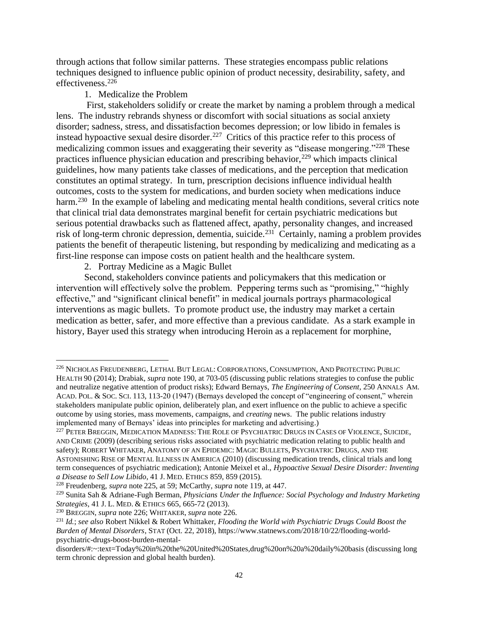through actions that follow similar patterns. These strategies encompass public relations techniques designed to influence public opinion of product necessity, desirability, safety, and effectiveness.<sup>226</sup>

# 1. Medicalize the Problem

First, stakeholders solidify or create the market by naming a problem through a medical lens. The industry rebrands shyness or discomfort with social situations as social anxiety disorder; sadness, stress, and dissatisfaction becomes depression; or low libido in females is instead hypoactive sexual desire disorder.<sup>227</sup> Critics of this practice refer to this process of medicalizing common issues and exaggerating their severity as "disease mongering."<sup>228</sup> These practices influence physician education and prescribing behavior,<sup>229</sup> which impacts clinical guidelines, how many patients take classes of medications, and the perception that medication constitutes an optimal strategy. In turn, prescription decisions influence individual health outcomes, costs to the system for medications, and burden society when medications induce harm.<sup>230</sup> In the example of labeling and medicating mental health conditions, several critics note that clinical trial data demonstrates marginal benefit for certain psychiatric medications but serious potential drawbacks such as flattened affect, apathy, personality changes, and increased risk of long-term chronic depression, dementia, suicide.<sup>231</sup> Certainly, naming a problem provides patients the benefit of therapeutic listening, but responding by medicalizing and medicating as a first-line response can impose costs on patient health and the healthcare system.

2. Portray Medicine as a Magic Bullet

Second, stakeholders convince patients and policymakers that this medication or intervention will effectively solve the problem. Peppering terms such as "promising," "highly effective," and "significant clinical benefit" in medical journals portrays pharmacological interventions as magic bullets. To promote product use, the industry may market a certain medication as better, safer, and more effective than a previous candidate. As a stark example in history, Bayer used this strategy when introducing Heroin as a replacement for morphine,

<sup>226</sup> NICHOLAS FREUDENBERG, LETHAL BUT LEGAL: CORPORATIONS, CONSUMPTION, AND PROTECTING PUBLIC HEALTH 90 (2014); Drabiak, *supra* note 190, at 703-05 (discussing public relations strategies to confuse the public and neutralize negative attention of product risks); Edward Bernays, *The Engineering of Consent*, 250 ANNALS AM. ACAD.POL. & SOC.SCI. 113, 113-20 (1947) (Bernays developed the concept of "engineering of consent," wherein stakeholders manipulate public opinion, deliberately plan, and exert influence on the public to achieve a specific outcome by using stories, mass movements, campaigns, and *creating* news. The public relations industry implemented many of Bernays' ideas into principles for marketing and advertising.)

<sup>&</sup>lt;sup>227</sup> PETER BREGGIN, MEDICATION MADNESS: THE ROLE OF PSYCHIATRIC DRUGS IN CASES OF VIOLENCE, SUICIDE, AND CRIME (2009) (describing serious risks associated with psychiatric medication relating to public health and safety); ROBERT WHITAKER, ANATOMY OF AN EPIDEMIC: MAGIC BULLETS, PSYCHIATRIC DRUGS, AND THE ASTONISHING RISE OF MENTAL ILLNESS IN AMERICA (2010) (discussing medication trends, clinical trials and long term consequences of psychiatric medication); Antonie Meixel et al., *Hypoactive Sexual Desire Disorder: Inventing a Disease to Sell Low Libido*, 41 J. MED. ETHICS 859, 859 (2015).

<sup>228</sup> Freudenberg, *supra* note 225, at 59; McCarthy, *supra* note 119, at 447.

<sup>229</sup> Sunita Sah & Adriane-Fugh Berman, *Physicians Under the Influence: Social Psychology and Industry Marketing Strategies*, 41 J. L. MED. & ETHICS 665, 665-72 (2013).

<sup>230</sup> BREGGIN, *supra* note 226; WHITAKER, *supra* note 226.

<sup>231</sup> *Id.*; *see also* Robert Nikkel & Robert Whittaker, *Flooding the World with Psychiatric Drugs Could Boost the Burden of Mental Disorders*, STAT (Oct. 22, 2018), https://www.statnews.com/2018/10/22/flooding-worldpsychiatric-drugs-boost-burden-mental-

disorders/#:~:text=Today%20in%20the%20United%20States,drug%20on%20a%20daily%20basis (discussing long term chronic depression and global health burden).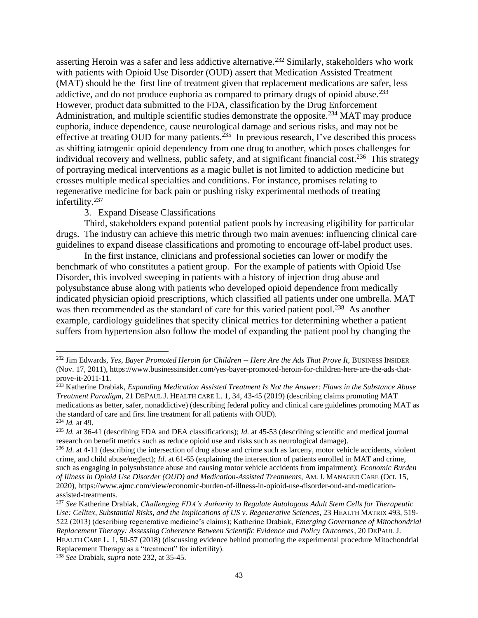asserting Heroin was a safer and less addictive alternative.<sup>232</sup> Similarly, stakeholders who work with patients with Opioid Use Disorder (OUD) assert that Medication Assisted Treatment (MAT) should be the first line of treatment given that replacement medications are safer, less addictive, and do not produce euphoria as compared to primary drugs of opioid abuse.<sup>233</sup> However, product data submitted to the FDA, classification by the Drug Enforcement Administration, and multiple scientific studies demonstrate the opposite.<sup>234</sup> MAT may produce euphoria, induce dependence, cause neurological damage and serious risks, and may not be effective at treating OUD for many patients.<sup>235</sup> In previous research, I've described this process as shifting iatrogenic opioid dependency from one drug to another, which poses challenges for individual recovery and wellness, public safety, and at significant financial cost.<sup>236</sup> This strategy of portraying medical interventions as a magic bullet is not limited to addiction medicine but crosses multiple medical specialties and conditions. For instance, promises relating to regenerative medicine for back pain or pushing risky experimental methods of treating infertility.<sup>237</sup>

#### 3. Expand Disease Classifications

Third, stakeholders expand potential patient pools by increasing eligibility for particular drugs. The industry can achieve this metric through two main avenues: influencing clinical care guidelines to expand disease classifications and promoting to encourage off-label product uses.

In the first instance, clinicians and professional societies can lower or modify the benchmark of who constitutes a patient group. For the example of patients with Opioid Use Disorder, this involved sweeping in patients with a history of injection drug abuse and polysubstance abuse along with patients who developed opioid dependence from medically indicated physician opioid prescriptions, which classified all patients under one umbrella. MAT was then recommended as the standard of care for this varied patient pool.<sup>238</sup> As another example, cardiology guidelines that specify clinical metrics for determining whether a patient suffers from hypertension also follow the model of expanding the patient pool by changing the

<sup>232</sup> Jim Edwards, *Yes, Bayer Promoted Heroin for Children -- Here Are the Ads That Prove It*, BUSINESS INSIDER (Nov. 17, 2011), https://www.businessinsider.com/yes-bayer-promoted-heroin-for-children-here-are-the-ads-thatprove-it-2011-11.

<sup>233</sup> Katherine Drabiak, *Expanding Medication Assisted Treatment Is Not the Answer: Flaws in the Substance Abuse Treatment Paradigm*, 21 DEPAUL J. HEALTH CARE L. 1, 34, 43-45 (2019) (describing claims promoting MAT medications as better, safer, nonaddictive) (describing federal policy and clinical care guidelines promoting MAT as the standard of care and first line treatment for all patients with OUD). <sup>234</sup> *Id.* at 49.

<sup>235</sup> *Id.* at 36-41 (describing FDA and DEA classifications); *Id.* at 45-53 (describing scientific and medical journal research on benefit metrics such as reduce opioid use and risks such as neurological damage).

<sup>&</sup>lt;sup>236</sup> *Id.* at 4-11 (describing the intersection of drug abuse and crime such as larceny, motor vehicle accidents, violent crime, and child abuse/neglect); *Id*. at 61-65 (explaining the intersection of patients enrolled in MAT and crime, such as engaging in polysubstance abuse and causing motor vehicle accidents from impairment); *Economic Burden of Illness in Opioid Use Disorder (OUD) and Medication-Assisted Treatments*, AM. J. MANAGED CARE (Oct. 15, 2020), https://www.ajmc.com/view/economic-burden-of-illness-in-opioid-use-disorder-oud-and-medicationassisted-treatments.

<sup>237</sup> *See* Katherine Drabiak, *Challenging FDA's Authority to Regulate Autologous Adult Stem Cells for Therapeutic Use: Celltex, Substantial Risks, and the Implications of US v. Regenerative Sciences*, 23 HEALTH MATRIX 493, 519- 522 (2013) (describing regenerative medicine's claims); Katherine Drabiak, *Emerging Governance of Mitochondrial Replacement Therapy: Assessing Coherence Between Scientific Evidence and Policy Outcomes*, 20 DEPAUL J. HEALTH CARE L. 1, 50-57 (2018) (discussing evidence behind promoting the experimental procedure Mitochondrial Replacement Therapy as a "treatment" for infertility).

<sup>238</sup> *See* Drabiak, *supra* note 232, at 35-45.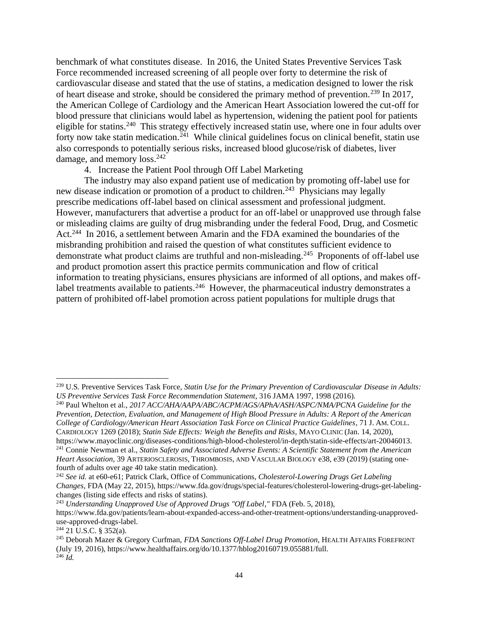benchmark of what constitutes disease. In 2016, the United States Preventive Services Task Force recommended increased screening of all people over forty to determine the risk of cardiovascular disease and stated that the use of statins, a medication designed to lower the risk of heart disease and stroke, should be considered the primary method of prevention.<sup>239</sup> In 2017, the American College of Cardiology and the American Heart Association lowered the cut-off for blood pressure that clinicians would label as hypertension, widening the patient pool for patients eligible for statins.<sup>240</sup> This strategy effectively increased statin use, where one in four adults over forty now take statin medication.<sup>241</sup> While clinical guidelines focus on clinical benefit, statin use also corresponds to potentially serious risks, increased blood glucose/risk of diabetes, liver damage, and memory loss.<sup>242</sup>

4. Increase the Patient Pool through Off Label Marketing

The industry may also expand patient use of medication by promoting off-label use for new disease indication or promotion of a product to children.<sup>243</sup> Physicians may legally prescribe medications off-label based on clinical assessment and professional judgment. However, manufacturers that advertise a product for an off-label or unapproved use through false or misleading claims are guilty of drug misbranding under the federal Food, Drug, and Cosmetic Act.<sup>244</sup> In 2016, a settlement between Amarin and the FDA examined the boundaries of the misbranding prohibition and raised the question of what constitutes sufficient evidence to demonstrate what product claims are truthful and non-misleading.<sup>245</sup> Proponents of off-label use and product promotion assert this practice permits communication and flow of critical information to treating physicians, ensures physicians are informed of all options, and makes offlabel treatments available to patients.<sup>246</sup> However, the pharmaceutical industry demonstrates a pattern of prohibited off-label promotion across patient populations for multiple drugs that

https://www.mayoclinic.org/diseases-conditions/high-blood-cholesterol/in-depth/statin-side-effects/art-20046013. <sup>241</sup> Connie Newman et al., *Statin Safety and Associated Adverse Events: A Scientific Statement from the American* 

<sup>239</sup> U.S. Preventive Services Task Force, *Statin Use for the Primary Prevention of Cardiovascular Disease in Adults: US Preventive Services Task Force Recommendation Statement*, 316 JAMA 1997, 1998 (2016).

<sup>240</sup> Paul Whelton et al., *2017 ACC/AHA/AAPA/ABC/ACPM/AGS/APhA/ASH/ASPC/NMA/PCNA Guideline for the Prevention, Detection, Evaluation, and Management of High Blood Pressure in Adults: A Report of the American College of Cardiology/American Heart Association Task Force on Clinical Practice Guidelines*, 71 J. AM. COLL. CARDIOLOGY 1269 (2018); *Statin Side Effects: Weigh the Benefits and Risks*, MAYO CLINIC (Jan. 14, 2020),

*Heart Association*, 39 ARTERIOSCLEROSIS, THROMBOSIS, AND VASCULAR BIOLOGY e38, e39 (2019) (stating onefourth of adults over age 40 take statin medication).

<sup>242</sup> *See id.* at e60-e61; Patrick Clark, Office of Communications, *Cholesterol-Lowering Drugs Get Labeling Changes*, FDA (May 22, 2015), https://www.fda.gov/drugs/special-features/cholesterol-lowering-drugs-get-labelingchanges (listing side effects and risks of statins).

<sup>243</sup> *Understanding Unapproved Use of Approved Drugs "Off Label*,*"* FDA (Feb. 5, 2018), https://www.fda.gov/patients/learn-about-expanded-access-and-other-treatment-options/understanding-unapproveduse-approved-drugs-label.

 $244$  21 U.S.C. § 352(a).

<sup>245</sup> Deborah Mazer & Gregory Curfman, *FDA Sanctions Off-Label Drug Promotion*, HEALTH AFFAIRS FOREFRONT (July 19, 2016), https://www.healthaffairs.org/do/10.1377/hblog20160719.055881/full.  $^{246}$  *Id.*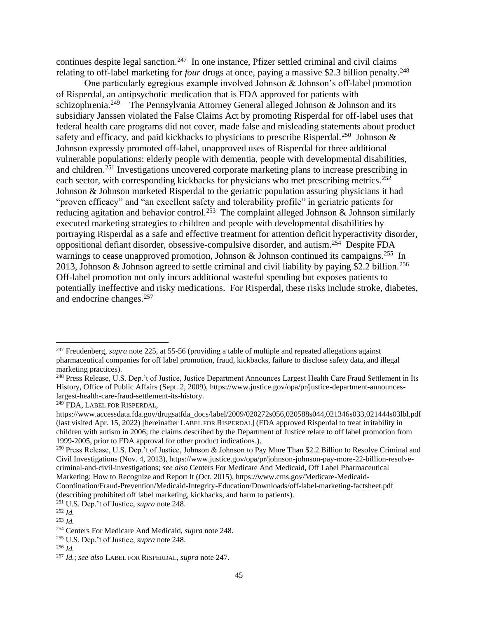continues despite legal sanction.<sup>247</sup> In one instance, Pfizer settled criminal and civil claims relating to off-label marketing for *four* drugs at once, paying a massive \$2.3 billion penalty.<sup>248</sup>

One particularly egregious example involved Johnson & Johnson's off-label promotion of Risperdal, an antipsychotic medication that is FDA approved for patients with schizophrenia.<sup>249</sup> The Pennsylvania Attorney General alleged Johnson & Johnson and its subsidiary Janssen violated the False Claims Act by promoting Risperdal for off-label uses that federal health care programs did not cover, made false and misleading statements about product safety and efficacy, and paid kickbacks to physicians to prescribe Risperdal.<sup>250</sup> Johnson & Johnson expressly promoted off-label, unapproved uses of Risperdal for three additional vulnerable populations: elderly people with dementia, people with developmental disabilities, and children.<sup>251</sup> Investigations uncovered corporate marketing plans to increase prescribing in each sector, with corresponding kickbacks for physicians who met prescribing metrics.<sup>252</sup> Johnson & Johnson marketed Risperdal to the geriatric population assuring physicians it had "proven efficacy" and "an excellent safety and tolerability profile" in geriatric patients for reducing agitation and behavior control.<sup>253</sup> The complaint alleged Johnson & Johnson similarly executed marketing strategies to children and people with developmental disabilities by portraying Risperdal as a safe and effective treatment for attention deficit hyperactivity disorder, oppositional defiant disorder, obsessive-compulsive disorder, and autism.<sup>254</sup> Despite FDA warnings to cease unapproved promotion, Johnson & Johnson continued its campaigns.<sup>255</sup> In 2013, Johnson & Johnson agreed to settle criminal and civil liability by paying \$2.2 billion.<sup>256</sup> Off-label promotion not only incurs additional wasteful spending but exposes patients to potentially ineffective and risky medications. For Risperdal, these risks include stroke, diabetes, and endocrine changes.<sup>257</sup>

<sup>251</sup> U.S. Dep.'t of Justice, *supra* note 248.

<sup>&</sup>lt;sup>247</sup> Freudenberg, *supra* note 225, at 55-56 (providing a table of multiple and repeated allegations against pharmaceutical companies for off label promotion, fraud, kickbacks, failure to disclose safety data, and illegal marketing practices).

<sup>&</sup>lt;sup>248</sup> Press Release, U.S. Dep.'t of Justice, Justice Department Announces Largest Health Care Fraud Settlement in Its History, Office of Public Affairs (Sept. 2, 2009), https://www.justice.gov/opa/pr/justice-department-announceslargest-health-care-fraud-settlement-its-history.

<sup>249</sup> FDA, LABEL FOR RISPERDAL,

https://www.accessdata.fda.gov/drugsatfda\_docs/label/2009/020272s056,020588s044,021346s033,021444s03lbl.pdf (last visited Apr. 15, 2022) [hereinafter LABEL FOR RISPERDAL] (FDA approved Risperdal to treat irritability in children with autism in 2006; the claims described by the Department of Justice relate to off label promotion from 1999-2005, prior to FDA approval for other product indications.).

<sup>&</sup>lt;sup>250</sup> Press Release, U.S. Dep.'t of Justice, Johnson & Johnson to Pay More Than \$2.2 Billion to Resolve Criminal and Civil Investigations (Nov. 4, 2013), https://www.justice.gov/opa/pr/johnson-johnson-pay-more-22-billion-resolvecriminal-and-civil-investigations; *see also* Centers For Medicare And Medicaid, Off Label Pharmaceutical Marketing: How to Recognize and Report It (Oct. 2015), https://www.cms.gov/Medicare-Medicaid-Coordination/Fraud-Prevention/Medicaid-Integrity-Education/Downloads/off-label-marketing-factsheet.pdf (describing prohibited off label marketing, kickbacks, and harm to patients).

<sup>252</sup> *Id.*

<sup>253</sup> *Id.*

<sup>254</sup> Centers For Medicare And Medicaid, *supra* note 248.

<sup>255</sup> U.S. Dep.'t of Justice, *supra* note 248.

<sup>256</sup> *Id.*

<sup>257</sup> *Id.*; *see also* LABEL FOR RISPERDAL, *supra* note 247.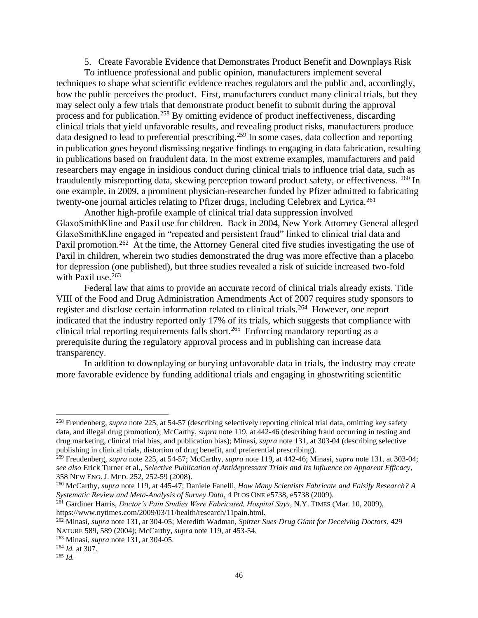5. Create Favorable Evidence that Demonstrates Product Benefit and Downplays Risk

To influence professional and public opinion, manufacturers implement several techniques to shape what scientific evidence reaches regulators and the public and, accordingly, how the public perceives the product. First, manufacturers conduct many clinical trials, but they may select only a few trials that demonstrate product benefit to submit during the approval process and for publication.<sup>258</sup> By omitting evidence of product ineffectiveness, discarding clinical trials that yield unfavorable results, and revealing product risks, manufacturers produce data designed to lead to preferential prescribing.<sup>259</sup> In some cases, data collection and reporting in publication goes beyond dismissing negative findings to engaging in data fabrication, resulting in publications based on fraudulent data. In the most extreme examples, manufacturers and paid researchers may engage in insidious conduct during clinical trials to influence trial data, such as fraudulently misreporting data, skewing perception toward product safety, or effectiveness. <sup>260</sup> In one example, in 2009, a prominent physician-researcher funded by Pfizer admitted to fabricating twenty-one journal articles relating to Pfizer drugs, including Celebrex and Lyrica.<sup>261</sup>

Another high-profile example of clinical trial data suppression involved GlaxoSmithKline and Paxil use for children. Back in 2004, New York Attorney General alleged GlaxoSmithKline engaged in "repeated and persistent fraud" linked to clinical trial data and Paxil promotion.<sup>262</sup> At the time, the Attorney General cited five studies investigating the use of Paxil in children, wherein two studies demonstrated the drug was more effective than a placebo for depression (one published), but three studies revealed a risk of suicide increased two-fold with Paxil use.<sup>263</sup>

Federal law that aims to provide an accurate record of clinical trials already exists. Title VIII of the Food and Drug Administration Amendments Act of 2007 requires study sponsors to register and disclose certain information related to clinical trials.<sup>264</sup> However, one report indicated that the industry reported only 17% of its trials, which suggests that compliance with clinical trial reporting requirements falls short.<sup>265</sup> Enforcing mandatory reporting as a prerequisite during the regulatory approval process and in publishing can increase data transparency.

In addition to downplaying or burying unfavorable data in trials, the industry may create more favorable evidence by funding additional trials and engaging in ghostwriting scientific

<sup>258</sup> Freudenberg, *supra* note 225, at 54-57 (describing selectively reporting clinical trial data, omitting key safety data, and illegal drug promotion); McCarthy, *supra* note 119, at 442-46 (describing fraud occurring in testing and drug marketing, clinical trial bias, and publication bias); Minasi, *supra* note 131, at 303-04 (describing selective publishing in clinical trials, distortion of drug benefit, and preferential prescribing).

<sup>259</sup> Freudenberg, *supra* note 225, at 54-57; McCarthy, *supra* note 119, at 442-46; Minasi, *supra* note 131, at 303-04; *see also* Erick Turner et al., *Selective Publication of Antidepressant Trials and Its Influence on Apparent Efficacy*, 358 NEW ENG. J. MED. 252, 252-59 (2008).

<sup>260</sup> McCarthy, *supra* note 119, at 445-47; Daniele Fanelli, *How Many Scientists Fabricate and Falsify Research? A Systematic Review and Meta-Analysis of Survey Data*, 4 PLOS ONE e5738, e5738 (2009).

<sup>261</sup> Gardiner Harris, *Doctor's Pain Studies Were Fabricated, Hospital Says*, N.Y. TIMES (Mar. 10, 2009), https://www.nytimes.com/2009/03/11/health/research/11pain.html.

<sup>262</sup> Minasi, *supra* note 131, at 304-05; Meredith Wadman, *Spitzer Sues Drug Giant for Deceiving Doctors*, 429 NATURE 589, 589 (2004); McCarthy, *supra* note 119, at 453-54.

<sup>263</sup> Minasi, *supra* note 131, at 304-05.

<sup>264</sup> *Id.* at 307.

<sup>265</sup> *Id.*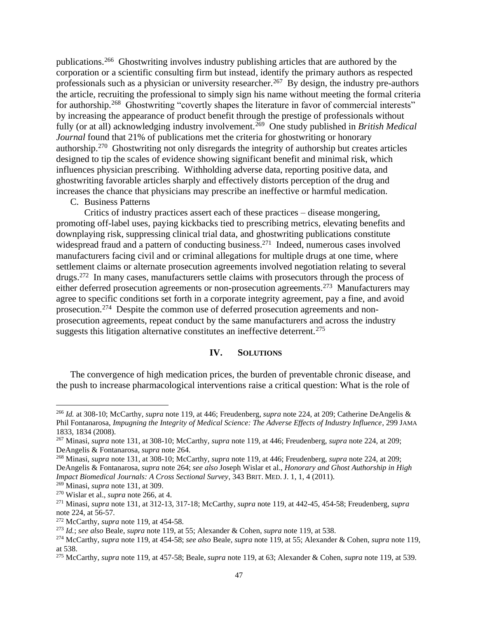publications.<sup>266</sup> Ghostwriting involves industry publishing articles that are authored by the corporation or a scientific consulting firm but instead, identify the primary authors as respected professionals such as a physician or university researcher.<sup>267</sup> By design, the industry pre-authors the article, recruiting the professional to simply sign his name without meeting the formal criteria for authorship.<sup>268</sup> Ghostwriting "covertly shapes the literature in favor of commercial interests" by increasing the appearance of product benefit through the prestige of professionals without fully (or at all) acknowledging industry involvement.<sup>269</sup> One study published in *British Medical Journal* found that 21% of publications met the criteria for ghostwriting or honorary authorship.<sup>270</sup> Ghostwriting not only disregards the integrity of authorship but creates articles designed to tip the scales of evidence showing significant benefit and minimal risk, which influences physician prescribing. Withholding adverse data, reporting positive data, and ghostwriting favorable articles sharply and effectively distorts perception of the drug and increases the chance that physicians may prescribe an ineffective or harmful medication.

C. Business Patterns

Critics of industry practices assert each of these practices – disease mongering, promoting off-label uses, paying kickbacks tied to prescribing metrics, elevating benefits and downplaying risk, suppressing clinical trial data, and ghostwriting publications constitute widespread fraud and a pattern of conducting business.<sup>271</sup> Indeed, numerous cases involved manufacturers facing civil and or criminal allegations for multiple drugs at one time, where settlement claims or alternate prosecution agreements involved negotiation relating to several drugs.<sup>272</sup> In many cases, manufacturers settle claims with prosecutors through the process of either deferred prosecution agreements or non-prosecution agreements.<sup>273</sup> Manufacturers may agree to specific conditions set forth in a corporate integrity agreement, pay a fine, and avoid prosecution.<sup>274</sup> Despite the common use of deferred prosecution agreements and nonprosecution agreements, repeat conduct by the same manufacturers and across the industry suggests this litigation alternative constitutes an ineffective deterrent.<sup>275</sup>

#### **IV. SOLUTIONS**

The convergence of high medication prices, the burden of preventable chronic disease, and the push to increase pharmacological interventions raise a critical question: What is the role of

<sup>266</sup> *Id.* at 308-10; McCarthy, *supra* note 119, at 446; Freudenberg, *supra* note 224, at 209; Catherine DeAngelis & Phil Fontanarosa, *Impugning the Integrity of Medical Science: The Adverse Effects of Industry Influence*, 299 JAMA 1833, 1834 (2008).

<sup>267</sup> Minasi, *supra* note 131, at 308-10; McCarthy, *supra* note 119, at 446; Freudenberg, *supra* note 224, at 209; DeAngelis & Fontanarosa, *supra* note 264.

<sup>268</sup> Minasi, *supra* note 131, at 308-10; McCarthy, *supra* note 119, at 446; Freudenberg, *supra* note 224, at 209; DeAngelis & Fontanarosa, *supra* note 264; *see also* Joseph Wislar et al., *Honorary and Ghost Authorship in High Impact Biomedical Journals: A Cross Sectional Survey*, 343 BRIT. MED. J. 1, 1, 4 (2011).

<sup>269</sup> Minasi, *supra* note 131, at 309.

<sup>270</sup> Wislar et al., *supra* note 266, at 4.

<sup>271</sup> Minasi, *supra* note 131, at 312-13, 317-18; McCarthy, *supra* note 119, at 442-45, 454-58; Freudenberg, *supra* note 224, at 56-57.

<sup>272</sup> McCarthy, *supra* note 119, at 454-58.

<sup>273</sup> *Id.*; *see also* Beale, *supra* note 119, at 55; Alexander & Cohen, *supra* note 119, at 538.

<sup>274</sup> McCarthy, *supra* note 119, at 454-58; *see also* Beale, *supra* note 119, at 55; Alexander & Cohen, *supra* note 119, at 538.

<sup>275</sup> McCarthy, *supra* note 119, at 457-58; Beale, *supra* note 119, at 63; Alexander & Cohen, *supra* note 119, at 539.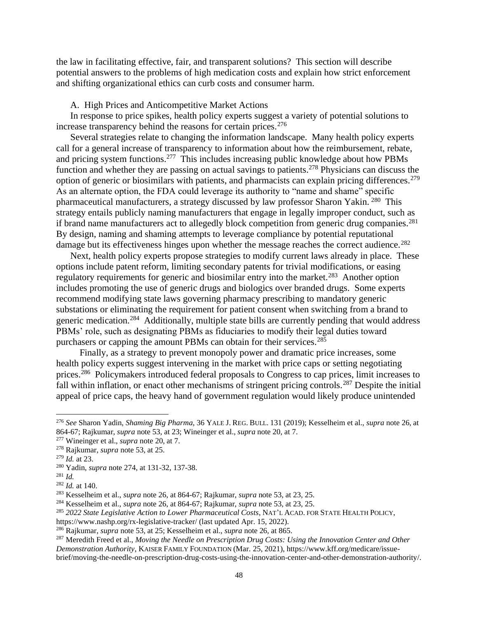the law in facilitating effective, fair, and transparent solutions? This section will describe potential answers to the problems of high medication costs and explain how strict enforcement and shifting organizational ethics can curb costs and consumer harm.

#### A. High Prices and Anticompetitive Market Actions

In response to price spikes, health policy experts suggest a variety of potential solutions to increase transparency behind the reasons for certain prices.<sup>276</sup>

Several strategies relate to changing the information landscape. Many health policy experts call for a general increase of transparency to information about how the reimbursement, rebate, and pricing system functions.<sup>277</sup> This includes increasing public knowledge about how PBMs function and whether they are passing on actual savings to patients.<sup>278</sup> Physicians can discuss the option of generic or biosimilars with patients, and pharmacists can explain pricing differences.<sup>279</sup> As an alternate option, the FDA could leverage its authority to "name and shame" specific pharmaceutical manufacturers, a strategy discussed by law professor Sharon Yakin. <sup>280</sup> This strategy entails publicly naming manufacturers that engage in legally improper conduct, such as if brand name manufacturers act to allegedly block competition from generic drug companies.<sup>281</sup> By design, naming and shaming attempts to leverage compliance by potential reputational damage but its effectiveness hinges upon whether the message reaches the correct audience.<sup>282</sup>

Next, health policy experts propose strategies to modify current laws already in place. These options include patent reform, limiting secondary patents for trivial modifications, or easing regulatory requirements for generic and biosimilar entry into the market.<sup>283</sup> Another option includes promoting the use of generic drugs and biologics over branded drugs. Some experts recommend modifying state laws governing pharmacy prescribing to mandatory generic substations or eliminating the requirement for patient consent when switching from a brand to generic medication.<sup>284</sup> Additionally, multiple state bills are currently pending that would address PBMs' role, such as designating PBMs as fiduciaries to modify their legal duties toward purchasers or capping the amount PBMs can obtain for their services.<sup>285</sup>

 Finally, as a strategy to prevent monopoly power and dramatic price increases, some health policy experts suggest intervening in the market with price caps or setting negotiating prices.<sup>286</sup> Policymakers introduced federal proposals to Congress to cap prices, limit increases to fall within inflation, or enact other mechanisms of stringent pricing controls.<sup>287</sup> Despite the initial appeal of price caps, the heavy hand of government regulation would likely produce unintended

<sup>276</sup> *See* Sharon Yadin, *Shaming Big Pharma*, 36 YALE J. REG. BULL. 131 (2019); Kesselheim et al., *supra* note 26, at 864-67; Rajkumar, *supra* note 53, at 23; Wineinger et al., *supra* note 20, at 7.

<sup>277</sup> Wineinger et al., *supra* note 20, at 7.

<sup>278</sup> Rajkumar, *supra* note 53, at 25.

<sup>279</sup> *Id.* at 23.

<sup>280</sup> Yadin, *supra* note 274, at 131-32, 137-38.

<sup>281</sup> *Id.*

<sup>282</sup> *Id.* at 140.

<sup>283</sup> Kesselheim et al., *supra* note 26, at 864-67; Rajkumar, *supra* note 53, at 23, 25.

<sup>284</sup> Kesselheim et al., *supra* note 26, at 864-67; Rajkumar, *supra* note 53, at 23, 25.

<sup>285</sup> *2022 State Legislative Action to Lower Pharmaceutical Costs*, NAT'L ACAD. FOR STATE HEALTH POLICY,

https://www.nashp.org/rx-legislative-tracker/ (last updated Apr. 15, 2022).

<sup>286</sup> Rajkumar, *supra* note 53, at 25; Kesselheim et al., *supra* note 26, at 865.

<sup>287</sup> Meredith Freed et al., *Moving the Needle on Prescription Drug Costs: Using the Innovation Center and Other Demonstration Authority*, KAISER FAMILY FOUNDATION (Mar. 25, 2021), https://www.kff.org/medicare/issuebrief/moving-the-needle-on-prescription-drug-costs-using-the-innovation-center-and-other-demonstration-authority/.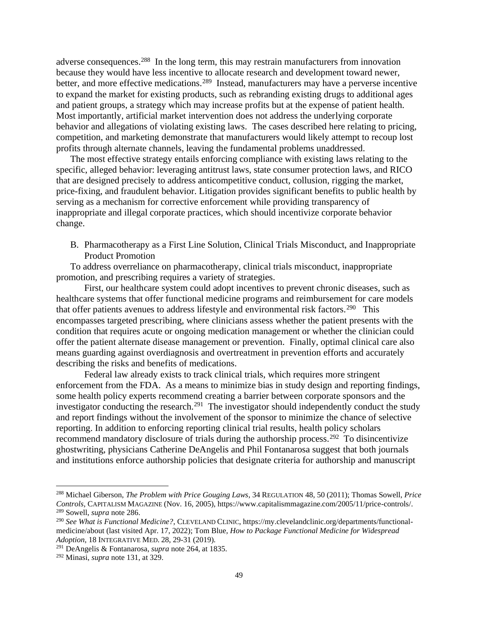adverse consequences.<sup>288</sup> In the long term, this may restrain manufacturers from innovation because they would have less incentive to allocate research and development toward newer, better, and more effective medications.<sup>289</sup> Instead, manufacturers may have a perverse incentive to expand the market for existing products, such as rebranding existing drugs to additional ages and patient groups, a strategy which may increase profits but at the expense of patient health. Most importantly, artificial market intervention does not address the underlying corporate behavior and allegations of violating existing laws. The cases described here relating to pricing, competition, and marketing demonstrate that manufacturers would likely attempt to recoup lost profits through alternate channels, leaving the fundamental problems unaddressed.

The most effective strategy entails enforcing compliance with existing laws relating to the specific, alleged behavior: leveraging antitrust laws, state consumer protection laws, and RICO that are designed precisely to address anticompetitive conduct, collusion, rigging the market, price-fixing, and fraudulent behavior. Litigation provides significant benefits to public health by serving as a mechanism for corrective enforcement while providing transparency of inappropriate and illegal corporate practices, which should incentivize corporate behavior change.

B. Pharmacotherapy as a First Line Solution, Clinical Trials Misconduct, and Inappropriate Product Promotion

To address overreliance on pharmacotherapy, clinical trials misconduct, inappropriate promotion, and prescribing requires a variety of strategies.

First, our healthcare system could adopt incentives to prevent chronic diseases, such as healthcare systems that offer functional medicine programs and reimbursement for care models that offer patients avenues to address lifestyle and environmental risk factors.<sup>290</sup> This encompasses targeted prescribing, where clinicians assess whether the patient presents with the condition that requires acute or ongoing medication management or whether the clinician could offer the patient alternate disease management or prevention. Finally, optimal clinical care also means guarding against overdiagnosis and overtreatment in prevention efforts and accurately describing the risks and benefits of medications.

Federal law already exists to track clinical trials, which requires more stringent enforcement from the FDA. As a means to minimize bias in study design and reporting findings, some health policy experts recommend creating a barrier between corporate sponsors and the investigator conducting the research.<sup>291</sup> The investigator should independently conduct the study and report findings without the involvement of the sponsor to minimize the chance of selective reporting. In addition to enforcing reporting clinical trial results, health policy scholars recommend mandatory disclosure of trials during the authorship process.<sup>292</sup> To disincentivize ghostwriting, physicians Catherine DeAngelis and Phil Fontanarosa suggest that both journals and institutions enforce authorship policies that designate criteria for authorship and manuscript

<sup>288</sup> Michael Giberson, *The Problem with Price Gouging Laws*, 34 REGULATION 48, 50 (2011); Thomas Sowell, *Price Controls*, CAPITALISM MAGAZINE (Nov. 16, 2005), https://www.capitalismmagazine.com/2005/11/price-controls/. <sup>289</sup> Sowell, *supra* note 286.

<sup>290</sup> *See What is Functional Medicine?*, CLEVELAND CLINIC, https://my.clevelandclinic.org/departments/functionalmedicine/about (last visited Apr. 17, 2022); Tom Blue, *How to Package Functional Medicine for Widespread Adoption*, 18 INTEGRATIVE MED. 28, 29-31 (2019).

<sup>291</sup> DeAngelis & Fontanarosa, *supra* note 264, at 1835.

<sup>292</sup> Minasi, *supra* note 131, at 329.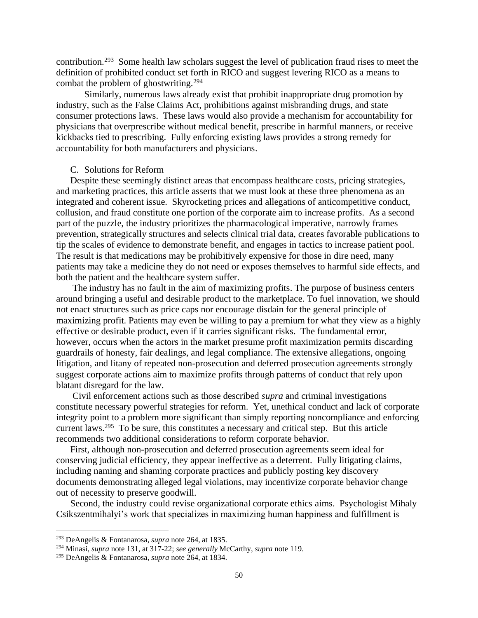contribution.<sup>293</sup> Some health law scholars suggest the level of publication fraud rises to meet the definition of prohibited conduct set forth in RICO and suggest levering RICO as a means to combat the problem of ghostwriting.<sup>294</sup>

Similarly, numerous laws already exist that prohibit inappropriate drug promotion by industry, such as the False Claims Act, prohibitions against misbranding drugs, and state consumer protections laws. These laws would also provide a mechanism for accountability for physicians that overprescribe without medical benefit, prescribe in harmful manners, or receive kickbacks tied to prescribing. Fully enforcing existing laws provides a strong remedy for accountability for both manufacturers and physicians.

#### C. Solutions for Reform

Despite these seemingly distinct areas that encompass healthcare costs, pricing strategies, and marketing practices, this article asserts that we must look at these three phenomena as an integrated and coherent issue. Skyrocketing prices and allegations of anticompetitive conduct, collusion, and fraud constitute one portion of the corporate aim to increase profits. As a second part of the puzzle, the industry prioritizes the pharmacological imperative, narrowly frames prevention, strategically structures and selects clinical trial data, creates favorable publications to tip the scales of evidence to demonstrate benefit, and engages in tactics to increase patient pool. The result is that medications may be prohibitively expensive for those in dire need, many patients may take a medicine they do not need or exposes themselves to harmful side effects, and both the patient and the healthcare system suffer.

The industry has no fault in the aim of maximizing profits. The purpose of business centers around bringing a useful and desirable product to the marketplace. To fuel innovation, we should not enact structures such as price caps nor encourage disdain for the general principle of maximizing profit. Patients may even be willing to pay a premium for what they view as a highly effective or desirable product, even if it carries significant risks. The fundamental error, however, occurs when the actors in the market presume profit maximization permits discarding guardrails of honesty, fair dealings, and legal compliance. The extensive allegations, ongoing litigation, and litany of repeated non-prosecution and deferred prosecution agreements strongly suggest corporate actions aim to maximize profits through patterns of conduct that rely upon blatant disregard for the law.

Civil enforcement actions such as those described *supra* and criminal investigations constitute necessary powerful strategies for reform. Yet, unethical conduct and lack of corporate integrity point to a problem more significant than simply reporting noncompliance and enforcing current laws.<sup>295</sup> To be sure, this constitutes a necessary and critical step. But this article recommends two additional considerations to reform corporate behavior.

First, although non-prosecution and deferred prosecution agreements seem ideal for conserving judicial efficiency, they appear ineffective as a deterrent. Fully litigating claims, including naming and shaming corporate practices and publicly posting key discovery documents demonstrating alleged legal violations, may incentivize corporate behavior change out of necessity to preserve goodwill.

Second, the industry could revise organizational corporate ethics aims. Psychologist Mihaly Csikszentmihalyi's work that specializes in maximizing human happiness and fulfillment is

<sup>293</sup> DeAngelis & Fontanarosa, *supra* note 264, at 1835.

<sup>294</sup> Minasi, *supra* note 131, at 317-22; *see generally* McCarthy, *supra* note 119.

<sup>295</sup> DeAngelis & Fontanarosa, *supra* note 264, at 1834.